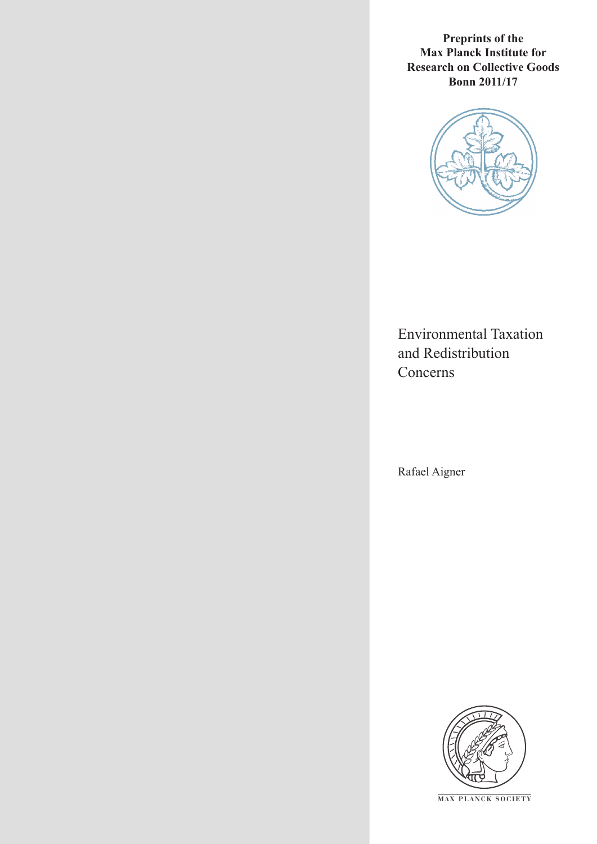**Preprints of the Max Planck Institute for Research on Collective Goods Bonn 2011/17**



Environmental Taxation and Redistribution Concerns

Rafael Aigner



**M AX PLANCK SOCIETY**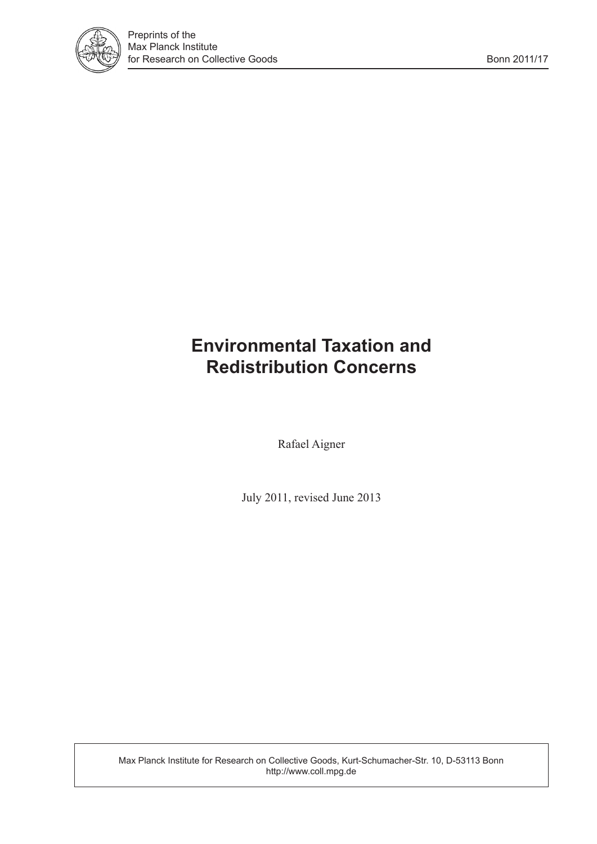

## **Environmental Taxation and Redistribution Concerns**

Rafael Aigner

July 2011, revised June 2013

Max Planck Institute for Research on Collective Goods, Kurt-Schumacher-Str. 10, D-53113 Bonn http://www.coll.mpg.de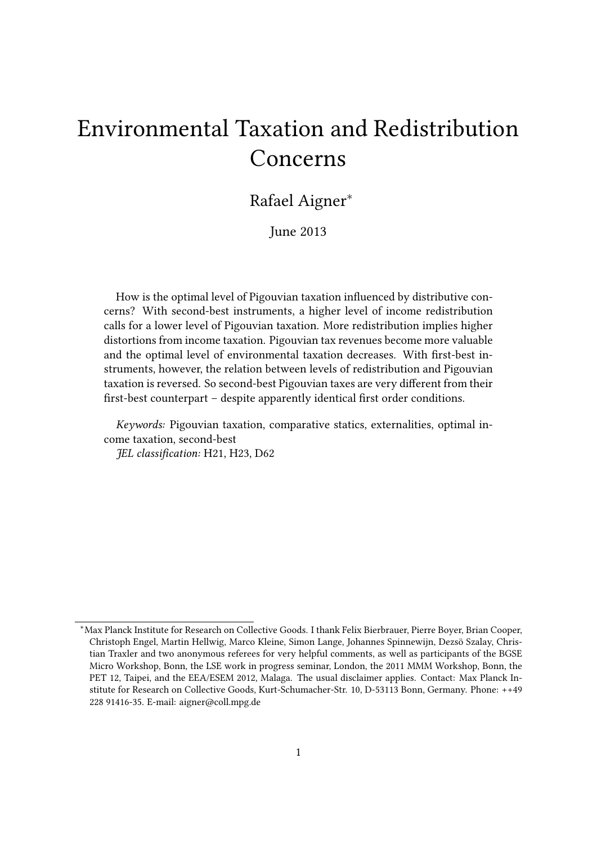# Environmental Taxation and Redistribution Concerns

Rafael Aigner<sup>∗</sup>

June 2013

How is the optimal level of Pigouvian taxation influenced by distributive concerns? With second-best instruments, a higher level of income redistribution calls for a lower level of Pigouvian taxation. More redistribution implies higher distortions from income taxation. Pigouvian tax revenues become more valuable and the optimal level of environmental taxation decreases. With first-best instruments, however, the relation between levels of redistribution and Pigouvian taxation is reversed. So second-best Pigouvian taxes are very different from their  $first-best counterpart - despite apparently identical first order conditions.$ 

Keywords: Pigouvian taxation, comparative statics, externalities, optimal income taxation, second-best

JEL classification: H21, H23, D62

<sup>∗</sup>Max Planck Institute for Research on Collective Goods. I thank Felix Bierbrauer, Pierre Boyer, Brian Cooper, Christoph Engel, Martin Hellwig, Marco Kleine, Simon Lange, Johannes Spinnewijn, Dezsö Szalay, Christian Traxler and two anonymous referees for very helpful comments, as well as participants of the BGSE Micro Workshop, Bonn, the LSE work in progress seminar, London, the 2011 MMM Workshop, Bonn, the PET 12, Taipei, and the EEA/ESEM 2012, Malaga. The usual disclaimer applies. Contact: Max Planck Institute for Research on Collective Goods, Kurt-Schumacher-Str. 10, D-53113 Bonn, Germany. Phone: ++49 228 91416-35. E-mail: aigner@coll.mpg.de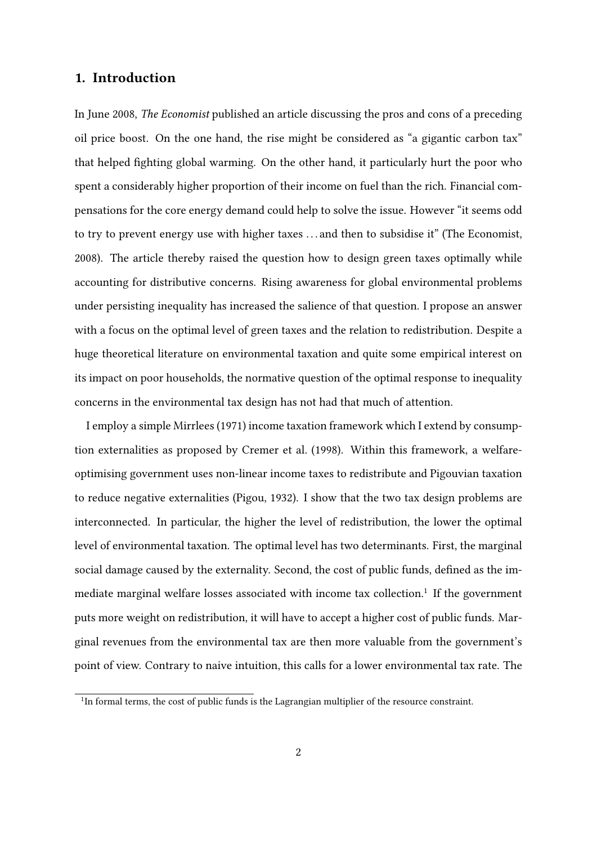## 1. Introduction

In June [2008,](#page-41-0) The Economist published an article discussing the pros and cons of a preceding oil price boost. On the one hand, the rise might be considered as "a gigantic carbon tax" that helped fighting global warming. On the other hand, it particularly hurt the poor who spent a considerably higher proportion of their income on fuel than the rich. Financial compensations for the core energy demand could help to solve the issue. However "it seems odd to try to prevent energy use with higher taxes . . . and then to subsidise it" [\(The Economist,](#page-41-0) [2008\)](#page-41-0). The article thereby raised the question how to design green taxes optimally while accounting for distributive concerns. Rising awareness for global environmental problems under persisting inequality has increased the salience of that question. I propose an answer with a focus on the optimal level of green taxes and the relation to redistribution. Despite a huge theoretical literature on environmental taxation and quite some empirical interest on its impact on poor households, the normative question of the optimal response to inequality concerns in the environmental tax design has not had that much of attention.

I employ a simple [Mirrlees](#page-40-0) [\(1971\)](#page-40-0) income taxation framework which I extend by consumption externalities as proposed by [Cremer et al.](#page-38-0) [\(1998\)](#page-38-0). Within this framework, a welfareoptimising government uses non-linear income taxes to redistribute and Pigouvian taxation to reduce negative externalities [\(Pigou, 1932\)](#page-40-1). I show that the two tax design problems are interconnected. In particular, the higher the level of redistribution, the lower the optimal level of environmental taxation. The optimal level has two determinants. First, the marginal social damage caused by the externality. Second, the cost of public funds, defined as the im-mediate marginal welfare losses associated with income tax collection.<sup>[1](#page-3-0)</sup> If the government puts more weight on redistribution, it will have to accept a higher cost of public funds. Marginal revenues from the environmental tax are then more valuable from the government's point of view. Contrary to naive intuition, this calls for a lower environmental tax rate. The

<span id="page-3-0"></span><sup>&</sup>lt;sup>1</sup>In formal terms, the cost of public funds is the Lagrangian multiplier of the resource constraint.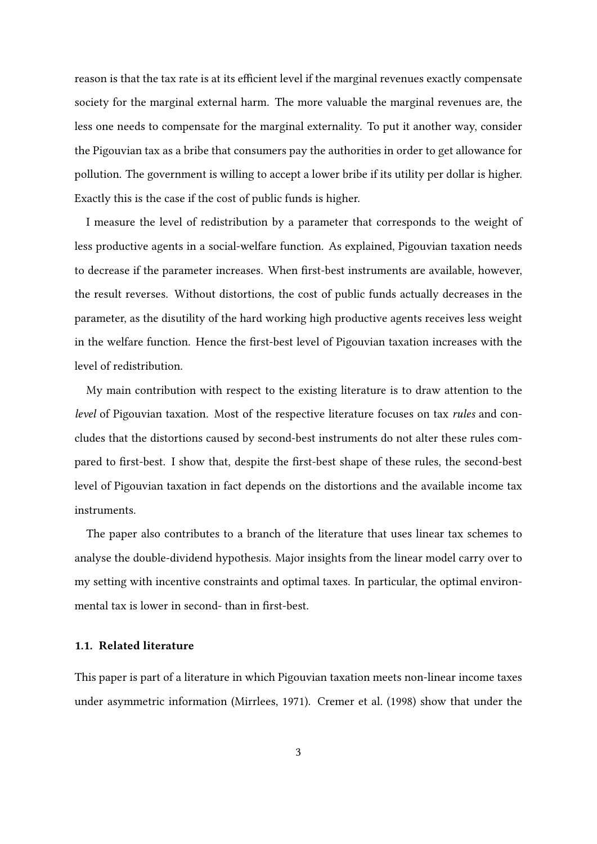reason is that the tax rate is at its efficient level if the marginal revenues exactly compensate society for the marginal external harm. The more valuable the marginal revenues are, the less one needs to compensate for the marginal externality. To put it another way, consider the Pigouvian tax as a bribe that consumers pay the authorities in order to get allowance for pollution. The government is willing to accept a lower bribe if its utility per dollar is higher. Exactly this is the case if the cost of public funds is higher.

I measure the level of redistribution by a parameter that corresponds to the weight of less productive agents in a social-welfare function. As explained, Pigouvian taxation needs to decrease if the parameter increases. When first-best instruments are available, however, the result reverses. Without distortions, the cost of public funds actually decreases in the parameter, as the disutility of the hard working high productive agents receives less weight in the welfare function. Hence the first-best level of Pigouvian taxation increases with the level of redistribution.

My main contribution with respect to the existing literature is to draw attention to the level of Pigouvian taxation. Most of the respective literature focuses on tax rules and concludes that the distortions caused by second-best instruments do not alter these rules compared to first-best. I show that, despite the first-best shape of these rules, the second-best level of Pigouvian taxation in fact depends on the distortions and the available income tax instruments.

The paper also contributes to a branch of the literature that uses linear tax schemes to analyse the double-dividend hypothesis. Major insights from the linear model carry over to my setting with incentive constraints and optimal taxes. In particular, the optimal environmental tax is lower in second- than in first-best.

## 1.1. Related literature

This paper is part of a literature in which Pigouvian taxation meets non-linear income taxes under asymmetric information [\(Mirrlees, 1971\)](#page-40-0). [Cremer et al.](#page-38-0) [\(1998\)](#page-38-0) show that under the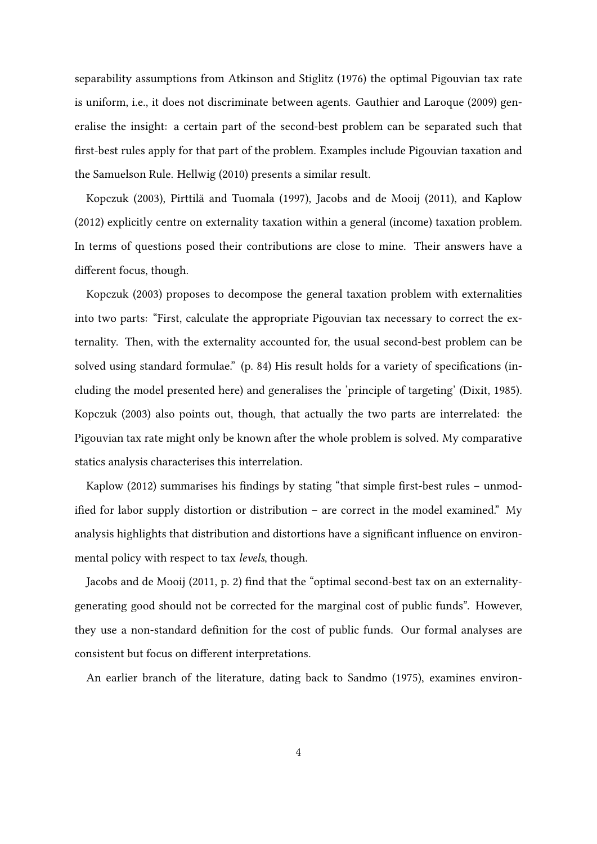separability assumptions from [Atkinson and Stiglitz](#page-37-0) [\(1976\)](#page-37-0) the optimal Pigouvian tax rate is uniform, i.e., it does not discriminate between agents. [Gauthier and Laroque](#page-39-0) [\(2009\)](#page-39-0) generalise the insight: a certain part of the second-best problem can be separated such that first-best rules apply for that part of the problem. Examples include Pigouvian taxation and the Samuelson Rule. [Hellwig](#page-39-1) [\(2010\)](#page-39-1) presents a similar result.

[Kopczuk](#page-39-2) [\(2003\)](#page-39-2), [Pirttilä and Tuomala](#page-40-2) [\(1997\)](#page-40-2), [Jacobs and de Mooij](#page-39-3) [\(2011\)](#page-39-3), and [Kaplow](#page-39-4) [\(2012\)](#page-39-4) explicitly centre on externality taxation within a general (income) taxation problem. In terms of questions posed their contributions are close to mine. Their answers have a different focus, though.

[Kopczuk](#page-39-2) [\(2003\)](#page-39-2) proposes to decompose the general taxation problem with externalities into two parts: "First, calculate the appropriate Pigouvian tax necessary to correct the externality. Then, with the externality accounted for, the usual second-best problem can be solved using standard formulae." (p. 84) His result holds for a variety of specifications (including the model presented here) and generalises the 'principle of targeting' [\(Dixit, 1985\)](#page-38-1). [Kopczuk](#page-39-2) [\(2003\)](#page-39-2) also points out, though, that actually the two parts are interrelated: the Pigouvian tax rate might only be known after the whole problem is solved. My comparative statics analysis characterises this interrelation.

[Kaplow](#page-39-4) [\(2012\)](#page-39-4) summarises his findings by stating "that simple first-best rules – unmodified for labor supply distortion or distribution – are correct in the model examined." My analysis highlights that distribution and distortions have a significant influence on environmental policy with respect to tax levels, though.

[Jacobs and de Mooij](#page-39-3) [\(2011,](#page-39-3) p. 2) find that the "optimal second-best tax on an externalitygenerating good should not be corrected for the marginal cost of public funds". However, they use a non-standard definition for the cost of public funds. Our formal analyses are consistent but focus on different interpretations.

An earlier branch of the literature, dating back to [Sandmo](#page-40-3) [\(1975\)](#page-40-3), examines environ-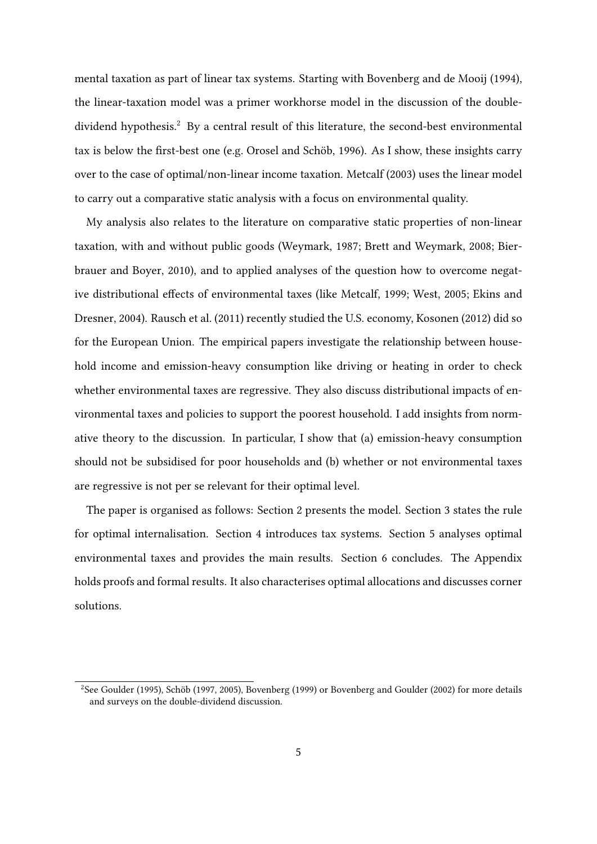mental taxation as part of linear tax systems. Starting with [Bovenberg and de Mooij](#page-38-2) [\(1994\)](#page-38-2), the linear-taxation model was a primer workhorse model in the discussion of the double-dividend hypothesis.<sup>[2](#page-6-0)</sup> By a central result of this literature, the second-best environmental tax is below the first-best one (e.g. [Orosel and Schöb, 1996\)](#page-40-4). As I show, these insights carry over to the case of optimal/non-linear income taxation. [Metcalf](#page-40-5) [\(2003\)](#page-40-5) uses the linear model to carry out a comparative static analysis with a focus on environmental quality.

My analysis also relates to the literature on comparative static properties of non-linear taxation, with and without public goods [\(Weymark, 1987;](#page-41-1) [Brett and Weymark, 2008;](#page-38-3) [Bier](#page-37-1)[brauer and Boyer, 2010\)](#page-37-1), and to applied analyses of the question how to overcome negat-ive distributional effects of environmental taxes (like [Metcalf, 1999;](#page-40-6) [West, 2005;](#page-41-2) [Ekins and](#page-38-4) [Dresner, 2004\)](#page-38-4). [Rausch et al.](#page-40-7) [\(2011\)](#page-40-7) recently studied the U.S. economy, [Kosonen](#page-39-5) [\(2012\)](#page-39-5) did so for the European Union. The empirical papers investigate the relationship between household income and emission-heavy consumption like driving or heating in order to check whether environmental taxes are regressive. They also discuss distributional impacts of environmental taxes and policies to support the poorest household. I add insights from normative theory to the discussion. In particular, I show that (a) emission-heavy consumption should not be subsidised for poor households and (b) whether or not environmental taxes are regressive is not per se relevant for their optimal level.

The paper is organised as follows: Section [2](#page-7-0) presents the model. Section [3](#page-10-0) states the rule for optimal internalisation. Section [4](#page-14-0) introduces tax systems. Section [5](#page-17-0) analyses optimal environmental taxes and provides the main results. Section [6](#page-25-0) concludes. The Appendix holds proofs and formal results. It also characterises optimal allocations and discusses corner solutions.

<span id="page-6-0"></span><sup>&</sup>lt;sup>2</sup>See [Goulder](#page-39-6) [\(1995\)](#page-39-6), [Schöb](#page-40-8) [\(1997,](#page-40-8) [2005\)](#page-40-9), [Bovenberg](#page-37-2) [\(1999\)](#page-37-2) or [Bovenberg and Goulder](#page-38-5) [\(2002\)](#page-38-5) for more details and surveys on the double-dividend discussion.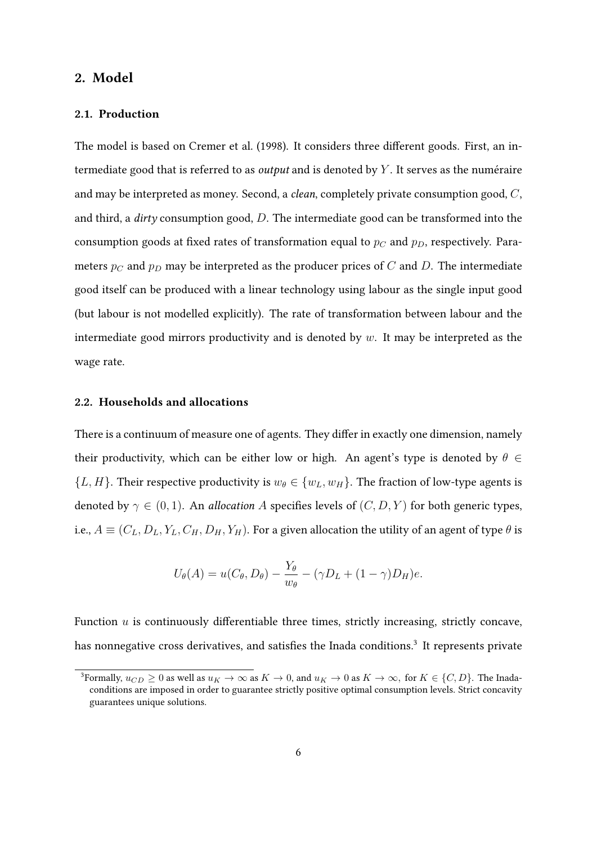## <span id="page-7-0"></span>2. Model

#### 2.1. Production

The model is based on [Cremer et al.](#page-38-0) [\(1998\)](#page-38-0). It considers three different goods. First, an intermediate good that is referred to as *output* and is denoted by  $Y$ . It serves as the numéraire and may be interpreted as money. Second, a clean, completely private consumption good, C, and third, a dirty consumption good,  $D$ . The intermediate good can be transformed into the consumption goods at fixed rates of transformation equal to  $p_C$  and  $p_D$ , respectively. Parameters  $p_C$  and  $p_D$  may be interpreted as the producer prices of C and D. The intermediate good itself can be produced with a linear technology using labour as the single input good (but labour is not modelled explicitly). The rate of transformation between labour and the intermediate good mirrors productivity and is denoted by  $w$ . It may be interpreted as the wage rate.

#### 2.2. Households and allocations

There is a continuum of measure one of agents. They differ in exactly one dimension, namely their productivity, which can be either low or high. An agent's type is denoted by  $\theta \in$  ${L, H}$ . Their respective productivity is  $w_\theta \in \{w_L, w_H\}$ . The fraction of low-type agents is denoted by  $\gamma \in (0, 1)$ . An *allocation A* specifies levels of  $(C, D, Y)$  for both generic types, i.e.,  $A \equiv (C_L, D_L, Y_L, C_H, D_H, Y_H)$ . For a given allocation the utility of an agent of type  $\theta$  is

$$
U_{\theta}(A) = u(C_{\theta}, D_{\theta}) - \frac{Y_{\theta}}{w_{\theta}} - (\gamma D_L + (1 - \gamma)D_H)e.
$$

Function  $u$  is continuously differentiable three times, strictly increasing, strictly concave, has nonnegative cross derivatives, and satisfies the Inada conditions.<sup>[3](#page-7-1)</sup> It represents private

<span id="page-7-1"></span><sup>&</sup>lt;sup>3</sup>Formally,  $u_{CD} \ge 0$  as well as  $u_K \to \infty$  as  $K \to 0$ , and  $u_K \to 0$  as  $K \to \infty$ , for  $K \in \{C, D\}$ . The Inadaconditions are imposed in order to guarantee strictly positive optimal consumption levels. Strict concavity guarantees unique solutions.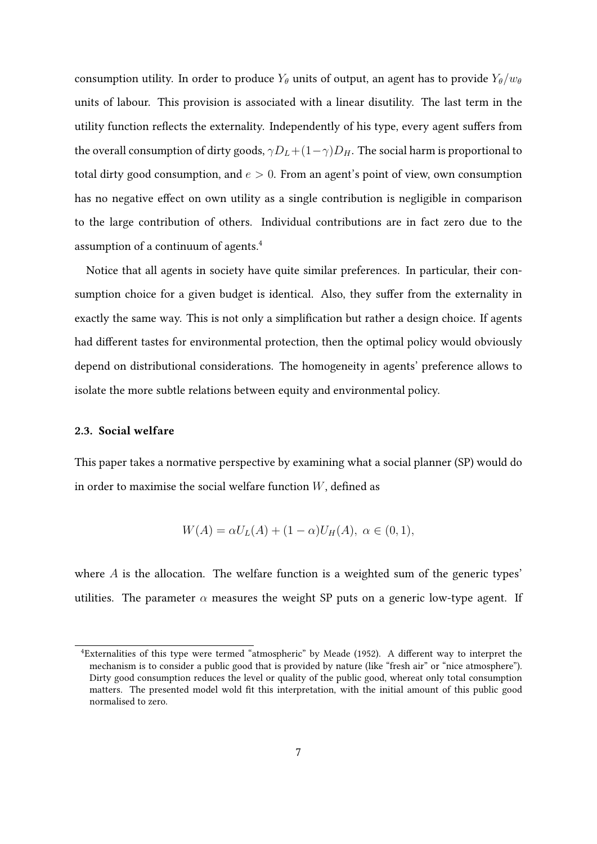consumption utility. In order to produce  $Y_{\theta}$  units of output, an agent has to provide  $Y_{\theta}/w_{\theta}$ units of labour. This provision is associated with a linear disutility. The last term in the utility function reflects the externality. Independently of his type, every agent suffers from the overall consumption of dirty goods,  $\gamma D_L+(1-\gamma)D_H$ . The social harm is proportional to total dirty good consumption, and  $e > 0$ . From an agent's point of view, own consumption has no negative effect on own utility as a single contribution is negligible in comparison to the large contribution of others. Individual contributions are in fact zero due to the assumption of a continuum of agents.[4](#page-8-0)

Notice that all agents in society have quite similar preferences. In particular, their consumption choice for a given budget is identical. Also, they suffer from the externality in exactly the same way. This is not only a simplification but rather a design choice. If agents had different tastes for environmental protection, then the optimal policy would obviously depend on distributional considerations. The homogeneity in agents' preference allows to isolate the more subtle relations between equity and environmental policy.

#### 2.3. Social welfare

This paper takes a normative perspective by examining what a social planner (SP) would do in order to maximise the social welfare function  $W$ , defined as

$$
W(A) = \alpha U_L(A) + (1 - \alpha)U_H(A), \ \alpha \in (0, 1),
$$

where A is the allocation. The welfare function is a weighted sum of the generic types' utilities. The parameter  $\alpha$  measures the weight SP puts on a generic low-type agent. If

<span id="page-8-0"></span><sup>&</sup>lt;sup>4</sup>Externalities of this type were termed "atmospheric" by [Meade](#page-39-7) [\(1952\)](#page-39-7). A different way to interpret the mechanism is to consider a public good that is provided by nature (like "fresh air" or "nice atmosphere"). Dirty good consumption reduces the level or quality of the public good, whereat only total consumption matters. The presented model wold fit this interpretation, with the initial amount of this public good normalised to zero.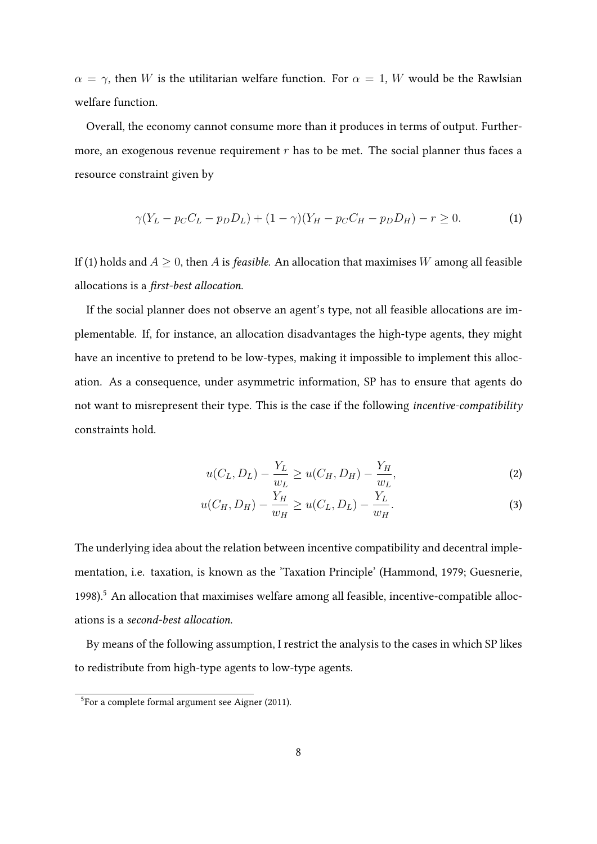$\alpha = \gamma$ , then W is the utilitarian welfare function. For  $\alpha = 1$ , W would be the Rawlsian welfare function.

Overall, the economy cannot consume more than it produces in terms of output. Furthermore, an exogenous revenue requirement  $r$  has to be met. The social planner thus faces a resource constraint given by

<span id="page-9-0"></span>
$$
\gamma(Y_L - p_C C_L - p_D D_L) + (1 - \gamma)(Y_H - p_C C_H - p_D D_H) - r \ge 0.
$$
 (1)

If [\(1\)](#page-9-0) holds and  $A \geq 0$ , then A is *feasible*. An allocation that maximises W among all feasible allocations is a *first-best allocation*.

If the social planner does not observe an agent's type, not all feasible allocations are implementable. If, for instance, an allocation disadvantages the high-type agents, they might have an incentive to pretend to be low-types, making it impossible to implement this allocation. As a consequence, under asymmetric information, SP has to ensure that agents do not want to misrepresent their type. This is the case if the following incentive-compatibility constraints hold.

<span id="page-9-3"></span><span id="page-9-2"></span>
$$
u(C_L, D_L) - \frac{Y_L}{w_L} \ge u(C_H, D_H) - \frac{Y_H}{w_L},
$$
\n(2)

$$
u(C_H, D_H) - \frac{Y_H}{w_H} \ge u(C_L, D_L) - \frac{Y_L}{w_H}.
$$
\n(3)

The underlying idea about the relation between incentive compatibility and decentral implementation, i.e. taxation, is known as the 'Taxation Principle' [\(Hammond, 1979;](#page-39-8) [Guesnerie,](#page-39-9) [1998\)](#page-39-9).<sup>[5](#page-9-1)</sup> An allocation that maximises welfare among all feasible, incentive-compatible allocations is a second-best allocation.

By means of the following assumption, I restrict the analysis to the cases in which SP likes to redistribute from high-type agents to low-type agents.

<span id="page-9-1"></span><sup>5</sup> For a complete formal argument see [Aigner](#page-37-3) [\(2011\)](#page-37-3).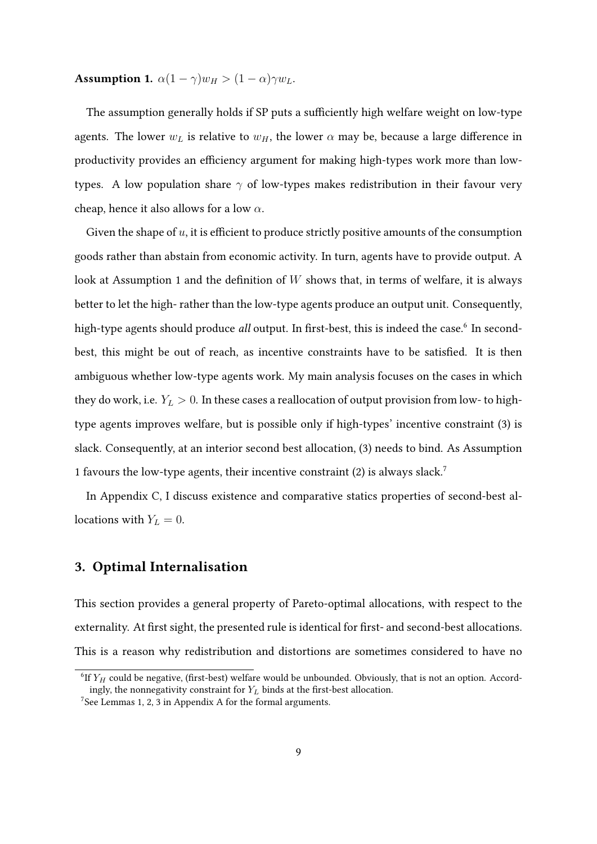## <span id="page-10-1"></span>Assumption 1.  $\alpha(1-\gamma)w_H > (1-\alpha)\gamma w_L$ .

The assumption generally holds if SP puts a sufficiently high welfare weight on low-type agents. The lower  $w_L$  is relative to  $w_H$ , the lower  $\alpha$  may be, because a large difference in productivity provides an efficiency argument for making high-types work more than lowtypes. A low population share  $\gamma$  of low-types makes redistribution in their favour very cheap, hence it also allows for a low  $\alpha$ .

Given the shape of  $u$ , it is efficient to produce strictly positive amounts of the consumption goods rather than abstain from economic activity. In turn, agents have to provide output. A look at Assumption [1](#page-10-1) and the definition of  $W$  shows that, in terms of welfare, it is always better to let the high- rather than the low-type agents produce an output unit. Consequently, high-type agents should produce all output. In first-best, this is indeed the case.<sup>[6](#page-10-2)</sup> In secondbest, this might be out of reach, as incentive constraints have to be satisfied. It is then ambiguous whether low-type agents work. My main analysis focuses on the cases in which they do work, i.e.  $Y_L > 0$ . In these cases a reallocation of output provision from low- to hightype agents improves welfare, but is possible only if high-types' incentive constraint [\(3\)](#page-9-2) is slack. Consequently, at an interior second best allocation, [\(3\)](#page-9-2) needs to bind. As Assumption [1](#page-10-1) favours the low-type agents, their incentive constraint [\(2\)](#page-9-3) is always slack.[7](#page-10-3)

In Appendix [C,](#page-32-0) I discuss existence and comparative statics properties of second-best allocations with  $Y_L = 0$ .

## <span id="page-10-0"></span>3. Optimal Internalisation

This section provides a general property of Pareto-optimal allocations, with respect to the externality. At first sight, the presented rule is identical for first- and second-best allocations. This is a reason why redistribution and distortions are sometimes considered to have no

<span id="page-10-2"></span><sup>&</sup>lt;sup>6</sup>If  $Y_H$  could be negative, (first-best) welfare would be unbounded. Obviously, that is not an option. Accordingly, the nonnegativity constraint for  $Y_L$  binds at the first-best allocation.

<span id="page-10-3"></span><sup>7</sup>See Lemmas [1,](#page-27-0) [2,](#page-27-1) [3](#page-28-0) in Appendix [A](#page-27-2) for the formal arguments.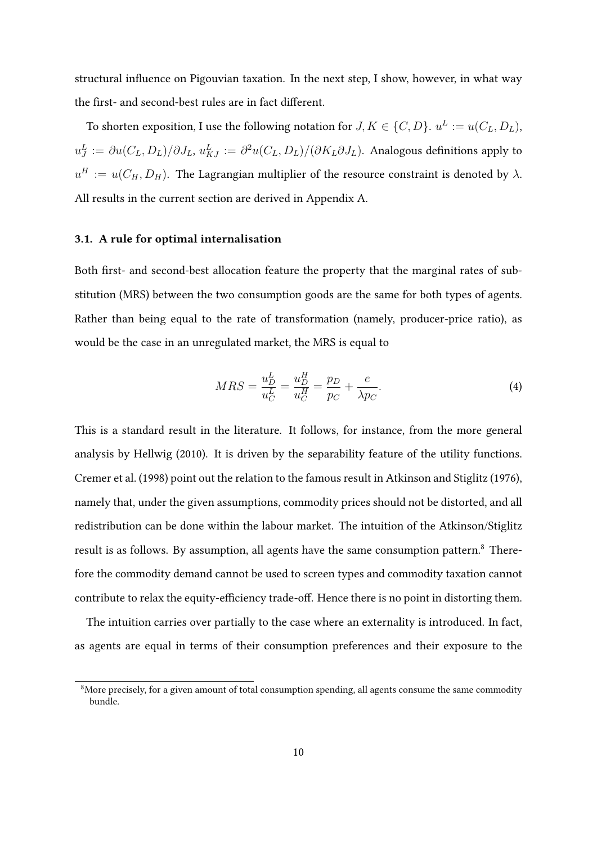structural influence on Pigouvian taxation. In the next step, I show, however, in what way the first- and second-best rules are in fact different.

To shorten exposition, I use the following notation for  $J,K\in\{C,D\}$ .  $u^L:=u(C_L,D_L),$  $u_J^L:=\partial u(C_L,D_L)/\partial J_L,\, u_{KJ}^L:=\partial^2 u(C_L,D_L)/(\partial K_L\partial J_L).$  Analogous definitions apply to  $u^H \, := \, u(C_H,D_H).$  The Lagrangian multiplier of the resource constraint is denoted by  $\lambda.$ All results in the current section are derived in Appendix [A.](#page-27-2)

#### 3.1. A rule for optimal internalisation

Both first- and second-best allocation feature the property that the marginal rates of substitution (MRS) between the two consumption goods are the same for both types of agents. Rather than being equal to the rate of transformation (namely, producer-price ratio), as would be the case in an unregulated market, the MRS is equal to

<span id="page-11-1"></span>
$$
MRS = \frac{u_D^L}{u_C^L} = \frac{u_D^H}{u_C^H} = \frac{p_D}{p_C} + \frac{e}{\lambda p_C}.
$$
\n<sup>(4)</sup>

This is a standard result in the literature. It follows, for instance, from the more general analysis by [Hellwig](#page-39-1) [\(2010\)](#page-39-1). It is driven by the separability feature of the utility functions. [Cremer et al.](#page-38-0) [\(1998\)](#page-38-0) point out the relation to the famous result in [Atkinson and Stiglitz](#page-37-0) [\(1976\)](#page-37-0), namely that, under the given assumptions, commodity prices should not be distorted, and all redistribution can be done within the labour market. The intuition of the Atkinson/Stiglitz result is as follows. By assumption, all agents have the same consumption pattern.<sup>[8](#page-11-0)</sup> Therefore the commodity demand cannot be used to screen types and commodity taxation cannot contribute to relax the equity-efficiency trade-off. Hence there is no point in distorting them.

The intuition carries over partially to the case where an externality is introduced. In fact, as agents are equal in terms of their consumption preferences and their exposure to the

<span id="page-11-0"></span><sup>&</sup>lt;sup>8</sup>More precisely, for a given amount of total consumption spending, all agents consume the same commodity bundle.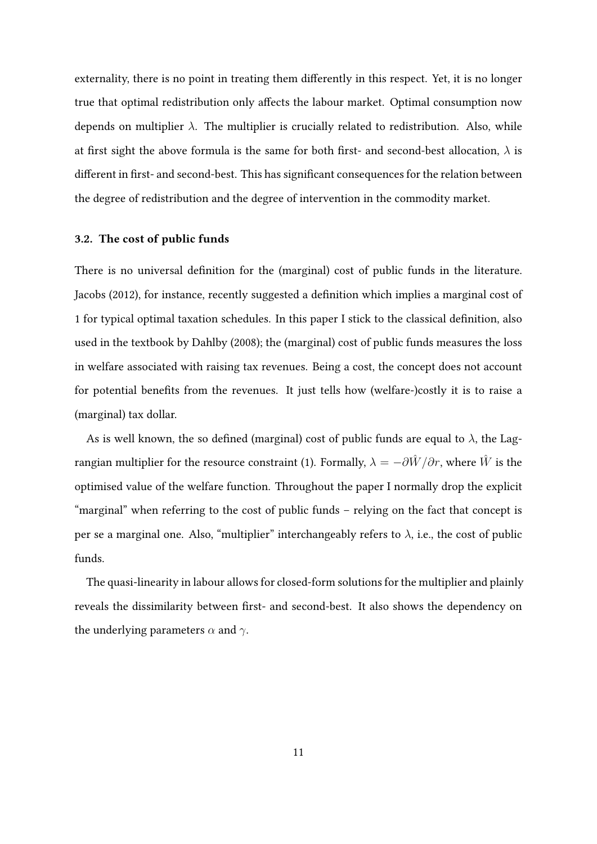externality, there is no point in treating them differently in this respect. Yet, it is no longer true that optimal redistribution only affects the labour market. Optimal consumption now depends on multiplier  $\lambda$ . The multiplier is crucially related to redistribution. Also, while at first sight the above formula is the same for both first- and second-best allocation,  $\lambda$  is different in first- and second-best. This has significant consequences for the relation between the degree of redistribution and the degree of intervention in the commodity market.

#### <span id="page-12-0"></span>3.2. The cost of public funds

There is no universal definition for the (marginal) cost of public funds in the literature. [Jacobs](#page-39-10) [\(2012\)](#page-39-10), for instance, recently suggested a definition which implies a marginal cost of 1 for typical optimal taxation schedules. In this paper I stick to the classical definition, also used in the textbook by [Dahlby](#page-38-6) [\(2008\)](#page-38-6); the (marginal) cost of public funds measures the loss in welfare associated with raising tax revenues. Being a cost, the concept does not account for potential benefits from the revenues. It just tells how (welfare-)costly it is to raise a (marginal) tax dollar.

As is well known, the so defined (marginal) cost of public funds are equal to  $\lambda$ , the Lag-rangian multiplier for the resource constraint [\(1\)](#page-9-0). Formally,  $\lambda = -\frac{\partial \hat{W}}{\partial r}$ , where  $\hat{W}$  is the optimised value of the welfare function. Throughout the paper I normally drop the explicit "marginal" when referring to the cost of public funds – relying on the fact that concept is per se a marginal one. Also, "multiplier" interchangeably refers to  $\lambda$ , i.e., the cost of public funds.

The quasi-linearity in labour allows for closed-form solutions for the multiplier and plainly reveals the dissimilarity between first- and second-best. It also shows the dependency on the underlying parameters  $\alpha$  and  $\gamma$ .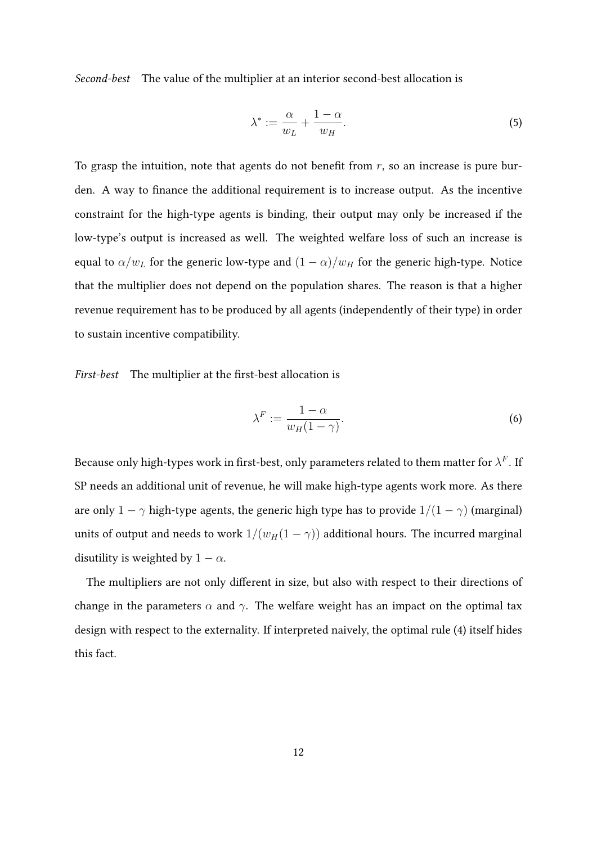Second-best The value of the multiplier at an interior second-best allocation is

<span id="page-13-0"></span>
$$
\lambda^* := \frac{\alpha}{w_L} + \frac{1 - \alpha}{w_H}.\tag{5}
$$

To grasp the intuition, note that agents do not benefit from  $r$ , so an increase is pure burden. A way to finance the additional requirement is to increase output. As the incentive constraint for the high-type agents is binding, their output may only be increased if the low-type's output is increased as well. The weighted welfare loss of such an increase is equal to  $\alpha/w_L$  for the generic low-type and  $(1 - \alpha)/w_H$  for the generic high-type. Notice that the multiplier does not depend on the population shares. The reason is that a higher revenue requirement has to be produced by all agents (independently of their type) in order to sustain incentive compatibility.

First-best The multiplier at the first-best allocation is

<span id="page-13-1"></span>
$$
\lambda^F := \frac{1 - \alpha}{w_H(1 - \gamma)}.\tag{6}
$$

Because only high-types work in first-best, only parameters related to them matter for  $\lambda^F.$  If SP needs an additional unit of revenue, he will make high-type agents work more. As there are only  $1 - \gamma$  high-type agents, the generic high type has to provide  $1/(1 - \gamma)$  (marginal) units of output and needs to work  $1/(w_H(1 - \gamma))$  additional hours. The incurred marginal disutility is weighted by  $1 - \alpha$ .

The multipliers are not only different in size, but also with respect to their directions of change in the parameters  $\alpha$  and  $\gamma$ . The welfare weight has an impact on the optimal tax design with respect to the externality. If interpreted naively, the optimal rule [\(4\)](#page-11-1) itself hides this fact.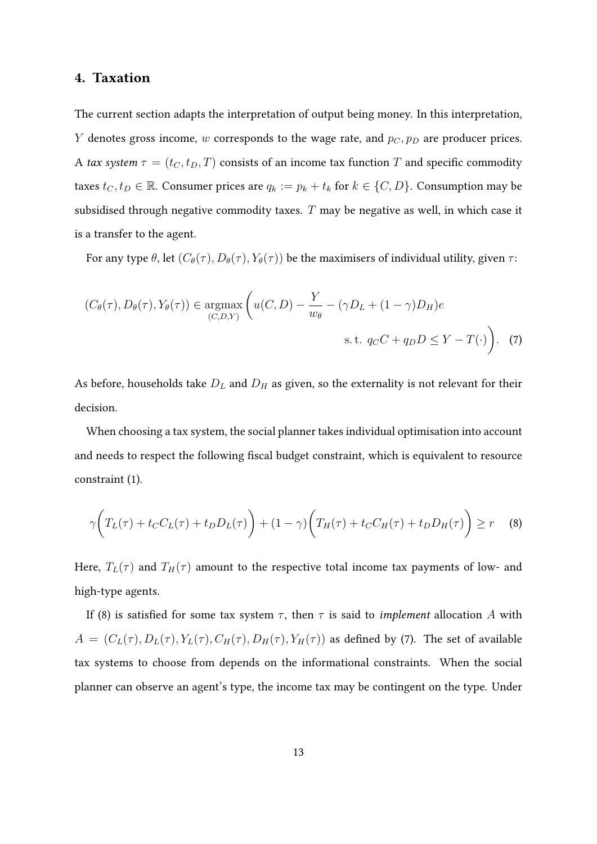## <span id="page-14-0"></span>4. Taxation

The current section adapts the interpretation of output being money. In this interpretation, Y denotes gross income, w corresponds to the wage rate, and  $p_C, p_D$  are producer prices. A tax system  $\tau = (t_C, t_D, T)$  consists of an income tax function T and specific commodity taxes  $t_C, t_D \in \mathbb{R}$ . Consumer prices are  $q_k := p_k + t_k$  for  $k \in \{C, D\}$ . Consumption may be subsidised through negative commodity taxes.  $T$  may be negative as well, in which case it is a transfer to the agent.

For any type  $\theta$ , let  $(C_{\theta}(\tau), D_{\theta}(\tau), Y_{\theta}(\tau))$  be the maximisers of individual utility, given  $\tau$ :

<span id="page-14-2"></span>
$$
(C_{\theta}(\tau), D_{\theta}(\tau), Y_{\theta}(\tau)) \in \underset{(C, D, Y)}{\text{argmax}} \left( u(C, D) - \frac{Y}{w_{\theta}} - (\gamma D_L + (1 - \gamma)D_H)e \right)
$$
  
s.t.  $q_C C + q_D D \leq Y - T(\cdot)$  (7)

As before, households take  $D<sub>L</sub>$  and  $D<sub>H</sub>$  as given, so the externality is not relevant for their decision.

When choosing a tax system, the social planner takes individual optimisation into account and needs to respect the following fiscal budget constraint, which is equivalent to resource constraint [\(1\)](#page-9-0).

<span id="page-14-1"></span>
$$
\gamma\bigg(T_L(\tau) + t_C C_L(\tau) + t_D D_L(\tau)\bigg) + (1 - \gamma)\bigg(T_H(\tau) + t_C C_H(\tau) + t_D D_H(\tau)\bigg) \ge r \quad (8)
$$

Here,  $T_L(\tau)$  and  $T_H(\tau)$  amount to the respective total income tax payments of low- and high-type agents.

If [\(8\)](#page-14-1) is satisfied for some tax system  $\tau$ , then  $\tau$  is said to *implement* allocation A with  $A = (C<sub>L</sub>(\tau), D<sub>L</sub>(\tau), Y<sub>L</sub>(\tau), C<sub>H</sub>(\tau), D<sub>H</sub>(\tau), Y<sub>H</sub>(\tau))$  as defined by [\(7\)](#page-14-2). The set of available tax systems to choose from depends on the informational constraints. When the social planner can observe an agent's type, the income tax may be contingent on the type. Under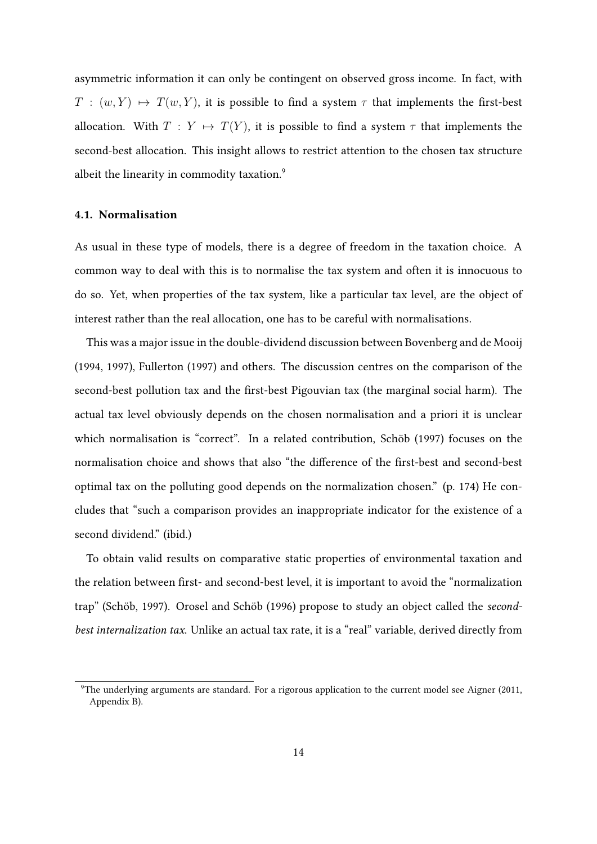asymmetric information it can only be contingent on observed gross income. In fact, with  $T : (w, Y) \mapsto T(w, Y)$ , it is possible to find a system  $\tau$  that implements the first-best allocation. With  $T : Y \mapsto T(Y)$ , it is possible to find a system  $\tau$  that implements the second-best allocation. This insight allows to restrict attention to the chosen tax structure albeit the linearity in commodity taxation.<sup>[9](#page-15-0)</sup>

## <span id="page-15-1"></span>4.1. Normalisation

As usual in these type of models, there is a degree of freedom in the taxation choice. A common way to deal with this is to normalise the tax system and often it is innocuous to do so. Yet, when properties of the tax system, like a particular tax level, are the object of interest rather than the real allocation, one has to be careful with normalisations.

This was a major issue in the double-dividend discussion between [Bovenberg and de Mooij](#page-38-2) [\(1994,](#page-38-2) [1997\)](#page-38-7), [Fullerton](#page-38-8) [\(1997\)](#page-38-8) and others. The discussion centres on the comparison of the second-best pollution tax and the first-best Pigouvian tax (the marginal social harm). The actual tax level obviously depends on the chosen normalisation and a priori it is unclear which normalisation is "correct". In a related contribution, [Schöb](#page-40-8) [\(1997\)](#page-40-8) focuses on the normalisation choice and shows that also "the difference of the first-best and second-best optimal tax on the polluting good depends on the normalization chosen." (p. 174) He concludes that "such a comparison provides an inappropriate indicator for the existence of a second dividend." (ibid.)

To obtain valid results on comparative static properties of environmental taxation and the relation between first- and second-best level, it is important to avoid the "normalization" trap" [\(Schöb, 1997\)](#page-40-8). [Orosel and Schöb](#page-40-4) [\(1996\)](#page-40-4) propose to study an object called the secondbest internalization tax. Unlike an actual tax rate, it is a "real" variable, derived directly from

<span id="page-15-0"></span> $9$ The underlying arguments are standard. For a rigorous application to the current model see [Aigner](#page-37-3) [\(2011,](#page-37-3) Appendix B).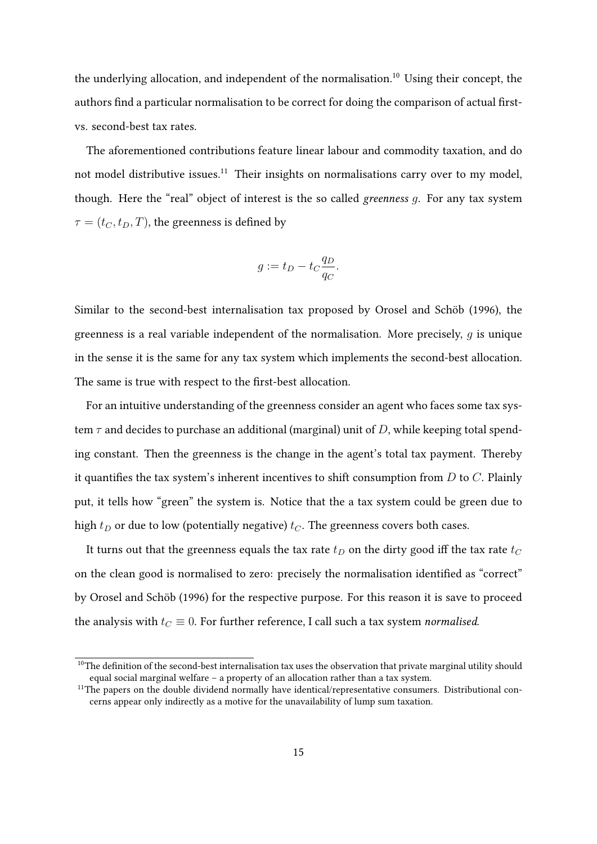the underlying allocation, and independent of the normalisation.<sup>[10](#page-16-0)</sup> Using their concept, the authors find a particular normalisation to be correct for doing the comparison of actual firstvs. second-best tax rates.

The aforementioned contributions feature linear labour and commodity taxation, and do not model distributive issues.<sup>[11](#page-16-1)</sup> Their insights on normalisations carry over to my model, though. Here the "real" object of interest is the so called greenness  $q$ . For any tax system  $\tau = (t_C, t_D, T)$ , the greenness is defined by

$$
g := t_D - t_C \frac{q_D}{q_C}.
$$

Similar to the second-best internalisation tax proposed by [Orosel and Schöb](#page-40-4) [\(1996\)](#page-40-4), the greenness is a real variable independent of the normalisation. More precisely,  $q$  is unique in the sense it is the same for any tax system which implements the second-best allocation. The same is true with respect to the first-best allocation.

For an intuitive understanding of the greenness consider an agent who faces some tax system  $\tau$  and decides to purchase an additional (marginal) unit of D, while keeping total spending constant. Then the greenness is the change in the agent's total tax payment. Thereby it quantifies the tax system's inherent incentives to shift consumption from  $D$  to  $C$ . Plainly put, it tells how "green" the system is. Notice that the a tax system could be green due to high  $t_D$  or due to low (potentially negative)  $t_C$ . The greenness covers both cases.

It turns out that the greenness equals the tax rate  $t_D$  on the dirty good iff the tax rate  $t_C$ on the clean good is normalised to zero: precisely the normalisation identified as "correct" by [Orosel and Schöb](#page-40-4) [\(1996\)](#page-40-4) for the respective purpose. For this reason it is save to proceed the analysis with  $t_C \equiv 0$ . For further reference, I call such a tax system *normalised*.

<span id="page-16-0"></span> $10$ The definition of the second-best internalisation tax uses the observation that private marginal utility should equal social marginal welfare – a property of an allocation rather than a tax system.

<span id="page-16-1"></span><sup>&</sup>lt;sup>11</sup>The papers on the double dividend normally have identical/representative consumers. Distributional concerns appear only indirectly as a motive for the unavailability of lump sum taxation.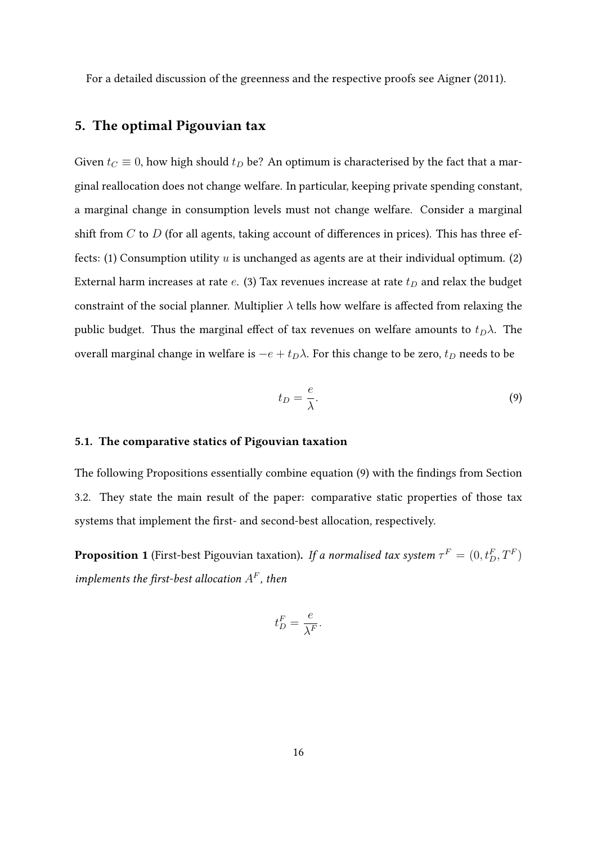For a detailed discussion of the greenness and the respective proofs see [Aigner](#page-37-3) [\(2011\)](#page-37-3).

## <span id="page-17-0"></span>5. The optimal Pigouvian tax

Given  $t_C \equiv 0$ , how high should  $t_D$  be? An optimum is characterised by the fact that a marginal reallocation does not change welfare. In particular, keeping private spending constant, a marginal change in consumption levels must not change welfare. Consider a marginal shift from  $C$  to  $D$  (for all agents, taking account of differences in prices). This has three effects: (1) Consumption utility  $u$  is unchanged as agents are at their individual optimum. (2) External harm increases at rate  $e$ . (3) Tax revenues increase at rate  $t_D$  and relax the budget constraint of the social planner. Multiplier  $\lambda$  tells how welfare is affected from relaxing the public budget. Thus the marginal effect of tax revenues on welfare amounts to  $t_D\lambda$ . The overall marginal change in welfare is  $-e + t_D \lambda$ . For this change to be zero,  $t_D$  needs to be

<span id="page-17-1"></span>
$$
t_D = \frac{e}{\lambda}.\tag{9}
$$

#### 5.1. The comparative statics of Pigouvian taxation

The following Propositions essentially combine equation [\(9\)](#page-17-1) with the findings from Section [3.2.](#page-12-0) They state the main result of the paper: comparative static properties of those tax systems that implement the first- and second-best allocation, respectively.

<span id="page-17-2"></span>**Proposition 1** (First-best Pigouvian taxation). *If a normalised tax system*  $\tau^F = (0, t_D^F, T^F)$ implements the first-best allocation  $A^F$ , then

$$
t_D^F = \frac{e}{\lambda^F}.
$$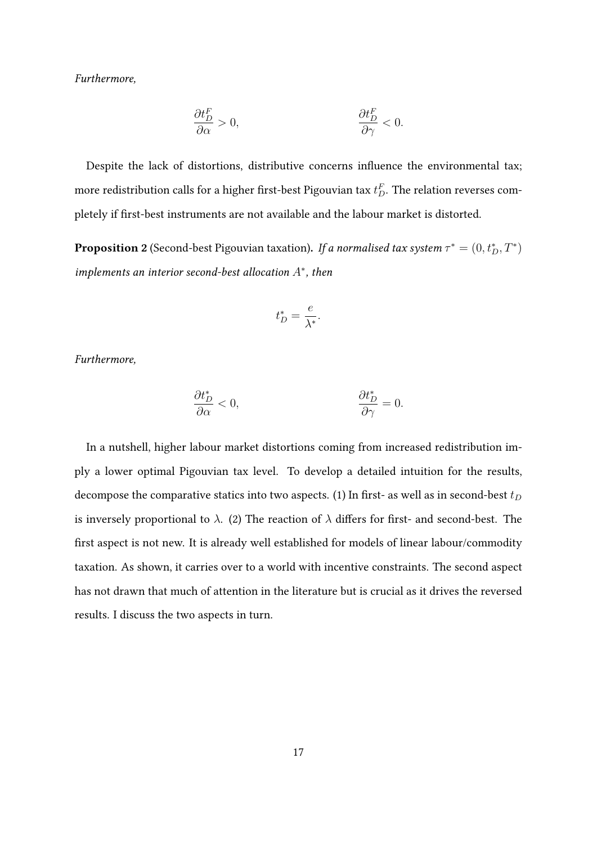Furthermore,

$$
\frac{\partial t_D^F}{\partial \alpha} > 0, \qquad \qquad \frac{\partial t_D^F}{\partial \gamma} < 0.
$$

Despite the lack of distortions, distributive concerns influence the environmental tax; more redistribution calls for a higher first-best Pigouvian tax  $t_D^F.$  The relation reverses completely if first-best instruments are not available and the labour market is distorted.

<span id="page-18-0"></span>**Proposition 2** (Second-best Pigouvian taxation). If a normalised tax system  $\tau^* = (0, t_D^*, T^*)$ implements an interior second-best allocation  $A^*$ , then

$$
t_D^* = \frac{e}{\lambda^*}.
$$

Furthermore,

$$
\frac{\partial t_D^*}{\partial \alpha} < 0, \qquad \frac{\partial t_D^*}{\partial \gamma} = 0.
$$

In a nutshell, higher labour market distortions coming from increased redistribution imply a lower optimal Pigouvian tax level. To develop a detailed intuition for the results, decompose the comparative statics into two aspects. (1) In first- as well as in second-best  $t_D$ is inversely proportional to  $\lambda$ . (2) The reaction of  $\lambda$  differs for first- and second-best. The first aspect is not new. It is already well established for models of linear labour/commodity taxation. As shown, it carries over to a world with incentive constraints. The second aspect has not drawn that much of attention in the literature but is crucial as it drives the reversed results. I discuss the two aspects in turn.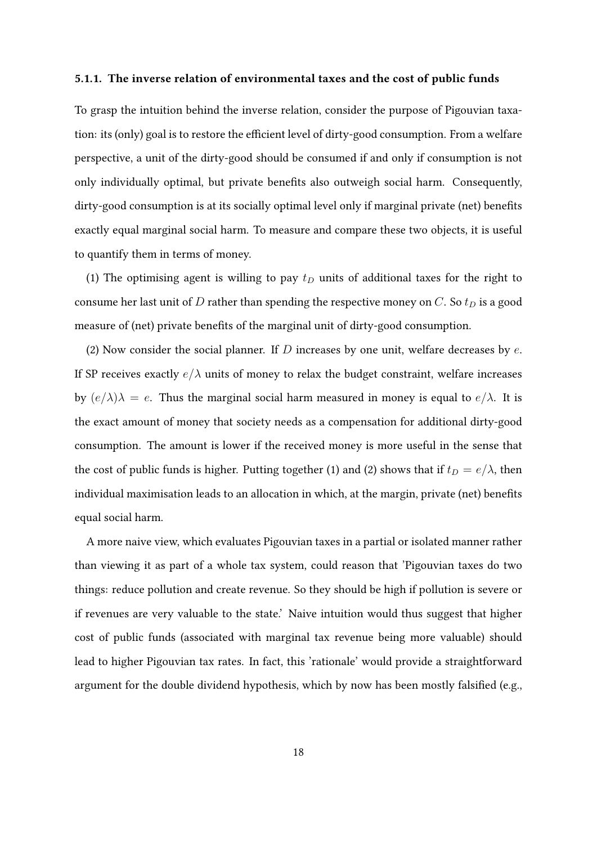#### 5.1.1. The inverse relation of environmental taxes and the cost of public funds

To grasp the intuition behind the inverse relation, consider the purpose of Pigouvian taxation: its (only) goal is to restore the efficient level of dirty-good consumption. From a welfare perspective, a unit of the dirty-good should be consumed if and only if consumption is not only individually optimal, but private benefits also outweigh social harm. Consequently, dirty-good consumption is at its socially optimal level only if marginal private (net) benefits exactly equal marginal social harm. To measure and compare these two objects, it is useful to quantify them in terms of money.

(1) The optimising agent is willing to pay  $t_D$  units of additional taxes for the right to consume her last unit of D rather than spending the respective money on C. So  $t_D$  is a good measure of (net) private benefits of the marginal unit of dirty-good consumption.

(2) Now consider the social planner. If  $D$  increases by one unit, welfare decreases by  $e$ . If SP receives exactly  $e/\lambda$  units of money to relax the budget constraint, welfare increases by  $(e/\lambda)\lambda = e$ . Thus the marginal social harm measured in money is equal to  $e/\lambda$ . It is the exact amount of money that society needs as a compensation for additional dirty-good consumption. The amount is lower if the received money is more useful in the sense that the cost of public funds is higher. Putting together (1) and (2) shows that if  $t_D = e/\lambda$ , then individual maximisation leads to an allocation in which, at the margin, private (net) benefits equal social harm.

A more naive view, which evaluates Pigouvian taxes in a partial or isolated manner rather than viewing it as part of a whole tax system, could reason that 'Pigouvian taxes do two things: reduce pollution and create revenue. So they should be high if pollution is severe or if revenues are very valuable to the state.' Naive intuition would thus suggest that higher cost of public funds (associated with marginal tax revenue being more valuable) should lead to higher Pigouvian tax rates. In fact, this 'rationale' would provide a straightforward argument for the double dividend hypothesis, which by now has been mostly falsified (e.g.,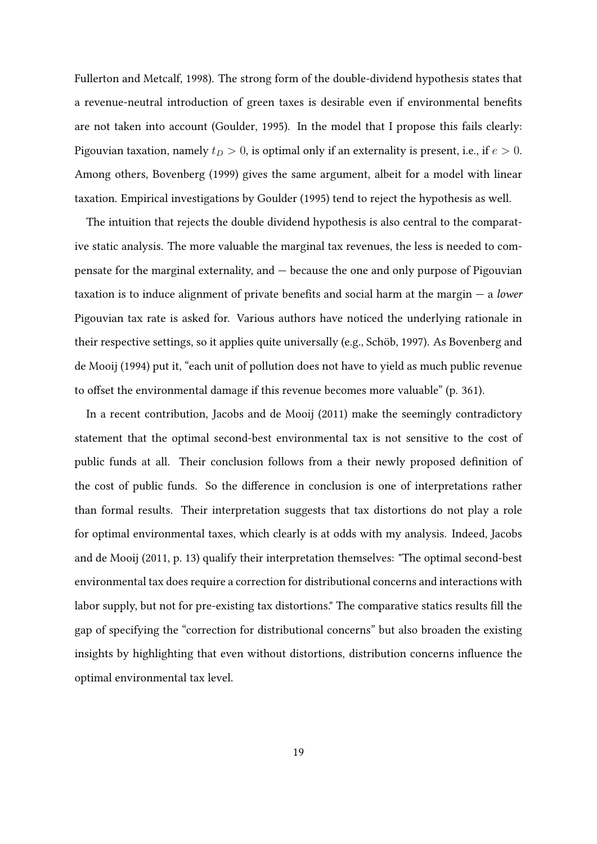[Fullerton and Metcalf, 1998\)](#page-38-9). The strong form of the double-dividend hypothesis states that a revenue-neutral introduction of green taxes is desirable even if environmental benefits are not taken into account [\(Goulder, 1995\)](#page-39-6). In the model that I propose this fails clearly: Pigouvian taxation, namely  $t_D > 0$ , is optimal only if an externality is present, i.e., if  $e > 0$ . Among others, [Bovenberg](#page-37-2) [\(1999\)](#page-37-2) gives the same argument, albeit for a model with linear taxation. Empirical investigations by [Goulder](#page-39-6) [\(1995\)](#page-39-6) tend to reject the hypothesis as well.

The intuition that rejects the double dividend hypothesis is also central to the comparative static analysis. The more valuable the marginal tax revenues, the less is needed to compensate for the marginal externality, and — because the one and only purpose of Pigouvian taxation is to induce alignment of private benefits and social harm at the margin  $-$  a lower Pigouvian tax rate is asked for. Various authors have noticed the underlying rationale in their respective settings, so it applies quite universally (e.g., [Schöb, 1997\)](#page-40-8). As [Bovenberg and](#page-38-2) [de Mooij](#page-38-2) [\(1994\)](#page-38-2) put it, "each unit of pollution does not have to yield as much public revenue to offset the environmental damage if this revenue becomes more valuable" (p. 361).

In a recent contribution, [Jacobs and de Mooij](#page-39-3) [\(2011\)](#page-39-3) make the seemingly contradictory statement that the optimal second-best environmental tax is not sensitive to the cost of public funds at all. Their conclusion follows from a their newly proposed definition of the cost of public funds. So the difference in conclusion is one of interpretations rather than formal results. Their interpretation suggests that tax distortions do not play a role for optimal environmental taxes, which clearly is at odds with my analysis. Indeed, [Jacobs](#page-39-3) [and de Mooij](#page-39-3) [\(2011,](#page-39-3) p. 13) qualify their interpretation themselves: "The optimal second-best environmental tax does require a correction for distributional concerns and interactions with labor supply, but not for pre-existing tax distortions." The comparative statics results fill the gap of specifying the "correction for distributional concerns" but also broaden the existing insights by highlighting that even without distortions, distribution concerns influence the optimal environmental tax level.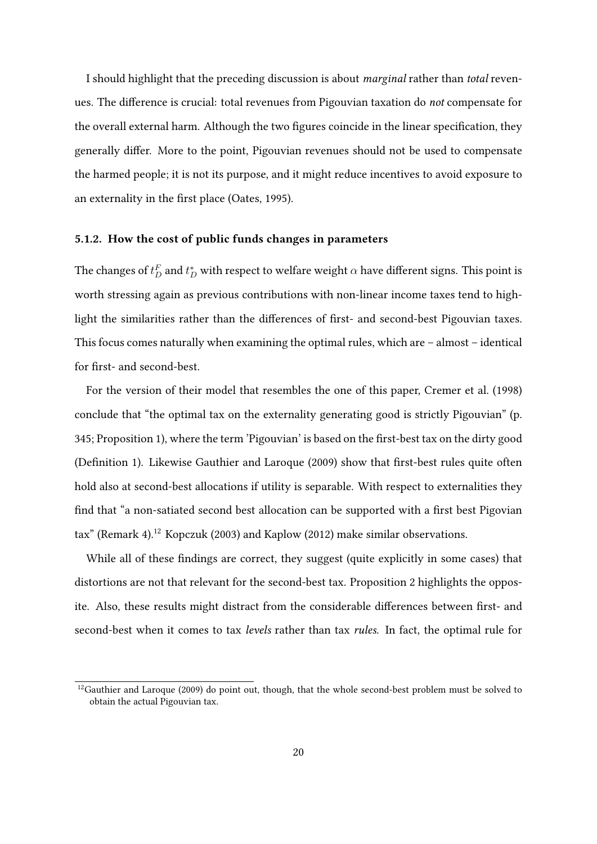I should highlight that the preceding discussion is about marginal rather than total revenues. The difference is crucial: total revenues from Pigouvian taxation do not compensate for the overall external harm. Although the two figures coincide in the linear specification, they generally differ. More to the point, Pigouvian revenues should not be used to compensate the harmed people; it is not its purpose, and it might reduce incentives to avoid exposure to an externality in the first place [\(Oates, 1995\)](#page-40-10).

#### 5.1.2. How the cost of public funds changes in parameters

The changes of  $t_D^F$  and  $t_D^*$  with respect to welfare weight  $\alpha$  have different signs. This point is worth stressing again as previous contributions with non-linear income taxes tend to highlight the similarities rather than the differences of first- and second-best Pigouvian taxes. This focus comes naturally when examining the optimal rules, which are – almost – identical for first- and second-best.

For the version of their model that resembles the one of this paper, [Cremer et al.](#page-38-0) [\(1998\)](#page-38-0) conclude that "the optimal tax on the externality generating good is strictly Pigouvian" (p. 345; Proposition 1), where the term 'Pigouvian' is based on the first-best tax on the dirty good (Definition 1). Likewise [Gauthier and Laroque](#page-39-0) [\(2009\)](#page-39-0) show that first-best rules quite often hold also at second-best allocations if utility is separable. With respect to externalities they find that "a non-satiated second best allocation can be supported with a first best Pigovian tax" (Remark 4).<sup>[12](#page-21-0)</sup> [Kopczuk](#page-39-2) [\(2003\)](#page-39-2) and [Kaplow](#page-39-4) [\(2012\)](#page-39-4) make similar observations.

While all of these findings are correct, they suggest (quite explicitly in some cases) that distortions are not that relevant for the second-best tax. Proposition [2](#page-18-0) highlights the opposite. Also, these results might distract from the considerable differences between first- and second-best when it comes to tax levels rather than tax rules. In fact, the optimal rule for

<span id="page-21-0"></span><sup>&</sup>lt;sup>12</sup>[Gauthier and Laroque](#page-39-0) [\(2009\)](#page-39-0) do point out, though, that the whole second-best problem must be solved to obtain the actual Pigouvian tax.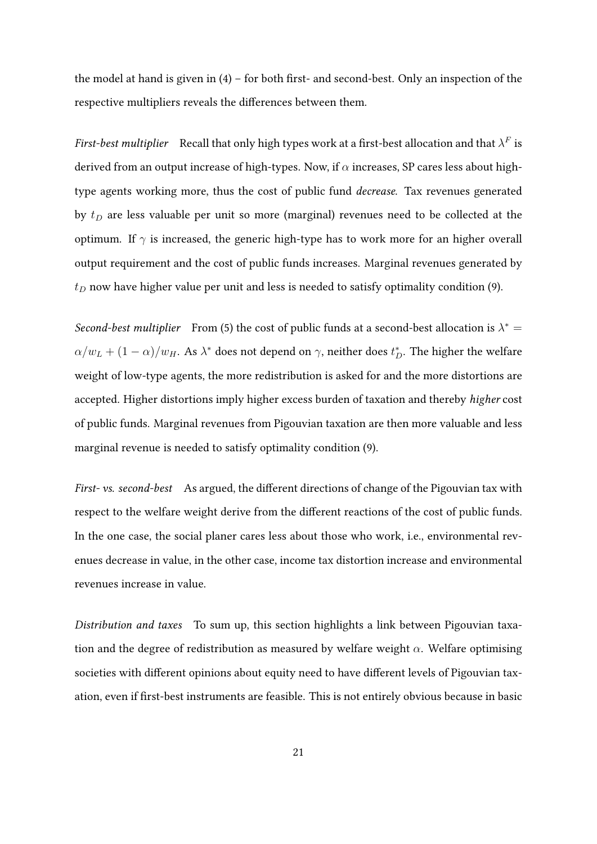the model at hand is given in  $(4)$  – for both first- and second-best. Only an inspection of the respective multipliers reveals the differences between them.

First-best multiplier Kecall that only high types work at a first-best allocation and that  $\lambda^F$  is derived from an output increase of high-types. Now, if  $\alpha$  increases, SP cares less about hightype agents working more, thus the cost of public fund decrease. Tax revenues generated by  $t_D$  are less valuable per unit so more (marginal) revenues need to be collected at the optimum. If  $\gamma$  is increased, the generic high-type has to work more for an higher overall output requirement and the cost of public funds increases. Marginal revenues generated by  $t_D$  now have higher value per unit and less is needed to satisfy optimality condition [\(9\)](#page-17-1).

Second-best multiplier From [\(5\)](#page-13-0) the cost of public funds at a second-best allocation is  $\lambda^* =$  $\alpha/w_L + (1-\alpha)/w_H$ . As  $\lambda^*$  does not depend on  $\gamma$ , neither does  $t_D^*$ . The higher the welfare weight of low-type agents, the more redistribution is asked for and the more distortions are accepted. Higher distortions imply higher excess burden of taxation and thereby higher cost of public funds. Marginal revenues from Pigouvian taxation are then more valuable and less marginal revenue is needed to satisfy optimality condition [\(9\)](#page-17-1).

First- vs. second-best As argued, the different directions of change of the Pigouvian tax with respect to the welfare weight derive from the different reactions of the cost of public funds. In the one case, the social planer cares less about those who work, i.e., environmental revenues decrease in value, in the other case, income tax distortion increase and environmental revenues increase in value.

Distribution and taxes To sum up, this section highlights a link between Pigouvian taxation and the degree of redistribution as measured by welfare weight  $\alpha$ . Welfare optimising societies with different opinions about equity need to have different levels of Pigouvian taxation, even if first-best instruments are feasible. This is not entirely obvious because in basic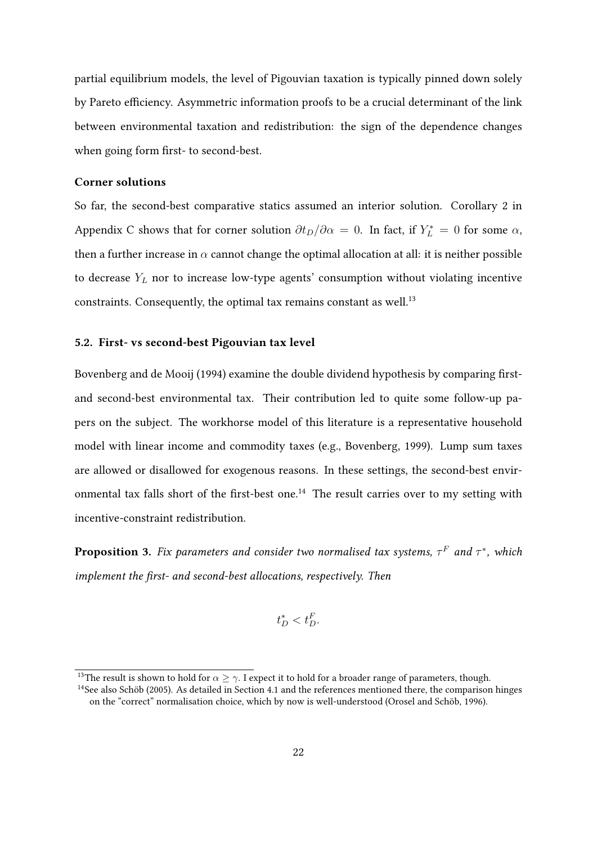partial equilibrium models, the level of Pigouvian taxation is typically pinned down solely by Pareto efficiency. Asymmetric information proofs to be a crucial determinant of the link between environmental taxation and redistribution: the sign of the dependence changes when going form first- to second-best.

## Corner solutions

So far, the second-best comparative statics assumed an interior solution. Corollary [2](#page-37-4) in Appendix [C](#page-32-0) shows that for corner solution  $\partial t_D/\partial \alpha = 0$ . In fact, if  $Y_L^* = 0$  for some  $\alpha$ , then a further increase in  $\alpha$  cannot change the optimal allocation at all: it is neither possible to decrease  $Y_L$  nor to increase low-type agents' consumption without violating incentive constraints. Consequently, the optimal tax remains constant as well.<sup>[13](#page-23-0)</sup>

#### 5.2. First- vs second-best Pigouvian tax level

[Bovenberg and de Mooij](#page-38-2) [\(1994\)](#page-38-2) examine the double dividend hypothesis by comparing firstand second-best environmental tax. Their contribution led to quite some follow-up papers on the subject. The workhorse model of this literature is a representative household model with linear income and commodity taxes (e.g., [Bovenberg, 1999\)](#page-37-2). Lump sum taxes are allowed or disallowed for exogenous reasons. In these settings, the second-best envir-onmental tax falls short of the first-best one.<sup>[14](#page-23-1)</sup> The result carries over to my setting with incentive-constraint redistribution.

**Proposition 3.** Fix parameters and consider two normalised tax systems,  $\tau^F$  and  $\tau^*$ , which implement the first- and second-best allocations, respectively. Then

$$
t_D^* < t_D^F.
$$

<span id="page-23-0"></span><sup>&</sup>lt;sup>13</sup>The result is shown to hold for  $\alpha \geq \gamma$ . I expect it to hold for a broader range of parameters, though.

<span id="page-23-1"></span> $14$ See also [Schöb](#page-40-9) [\(2005\)](#page-40-9). As detailed in Section [4.1](#page-15-1) and the references mentioned there, the comparison hinges on the "correct" normalisation choice, which by now is well-understood [\(Orosel and Schöb, 1996\)](#page-40-4).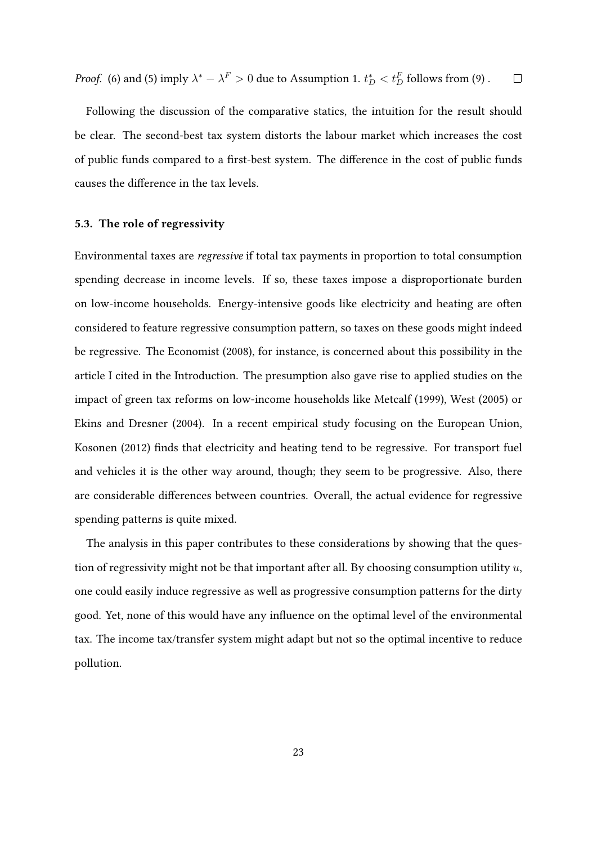*Proof.* [\(6\)](#page-13-1) and [\(5\)](#page-13-0) imply  $\lambda^* - \lambda^F > 0$  due to Assumption [1.](#page-10-1)  $t_D^* < t_D^F$  follows from [\(9\)](#page-17-1) .  $\Box$ 

Following the discussion of the comparative statics, the intuition for the result should be clear. The second-best tax system distorts the labour market which increases the cost of public funds compared to a first-best system. The difference in the cost of public funds causes the difference in the tax levels.

## 5.3. The role of regressivity

Environmental taxes are regressive if total tax payments in proportion to total consumption spending decrease in income levels. If so, these taxes impose a disproportionate burden on low-income households. Energy-intensive goods like electricity and heating are often considered to feature regressive consumption pattern, so taxes on these goods might indeed be regressive. [The Economist](#page-41-0) [\(2008\)](#page-41-0), for instance, is concerned about this possibility in the article I cited in the Introduction. The presumption also gave rise to applied studies on the impact of green tax reforms on low-income households like [Metcalf](#page-40-6) [\(1999\)](#page-40-6), [West](#page-41-2) [\(2005\)](#page-41-2) or [Ekins and Dresner](#page-38-4) [\(2004\)](#page-38-4). In a recent empirical study focusing on the European Union, [Kosonen](#page-39-5) [\(2012\)](#page-39-5) finds that electricity and heating tend to be regressive. For transport fuel and vehicles it is the other way around, though; they seem to be progressive. Also, there are considerable differences between countries. Overall, the actual evidence for regressive spending patterns is quite mixed.

The analysis in this paper contributes to these considerations by showing that the question of regressivity might not be that important after all. By choosing consumption utility  $u$ , one could easily induce regressive as well as progressive consumption patterns for the dirty good. Yet, none of this would have any influence on the optimal level of the environmental tax. The income tax/transfer system might adapt but not so the optimal incentive to reduce pollution.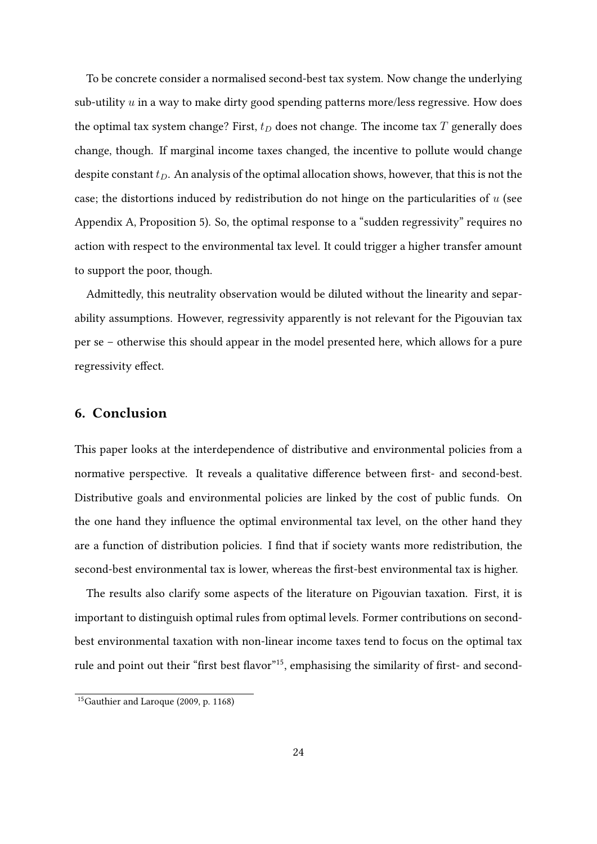To be concrete consider a normalised second-best tax system. Now change the underlying sub-utility  $u$  in a way to make dirty good spending patterns more/less regressive. How does the optimal tax system change? First,  $t_D$  does not change. The income tax T generally does change, though. If marginal income taxes changed, the incentive to pollute would change despite constant  $t_D$ . An analysis of the optimal allocation shows, however, that this is not the case; the distortions induced by redistribution do not hinge on the particularities of  $u$  (see Appendix [A,](#page-27-2) Proposition [5\)](#page-31-0). So, the optimal response to a "sudden regressivity" requires no action with respect to the environmental tax level. It could trigger a higher transfer amount to support the poor, though.

Admittedly, this neutrality observation would be diluted without the linearity and separability assumptions. However, regressivity apparently is not relevant for the Pigouvian tax per se – otherwise this should appear in the model presented here, which allows for a pure regressivity effect.

## <span id="page-25-0"></span>6. Conclusion

This paper looks at the interdependence of distributive and environmental policies from a normative perspective. It reveals a qualitative difference between first- and second-best. Distributive goals and environmental policies are linked by the cost of public funds. On the one hand they influence the optimal environmental tax level, on the other hand they are a function of distribution policies. I find that if society wants more redistribution, the second-best environmental tax is lower, whereas the first-best environmental tax is higher.

The results also clarify some aspects of the literature on Pigouvian taxation. First, it is important to distinguish optimal rules from optimal levels. Former contributions on secondbest environmental taxation with non-linear income taxes tend to focus on the optimal tax rule and point out their "first best flavor"<sup>[15](#page-25-1)</sup>, emphasising the similarity of first- and second-

<span id="page-25-1"></span><sup>15</sup>[Gauthier and Laroque](#page-39-0) [\(2009,](#page-39-0) p. 1168)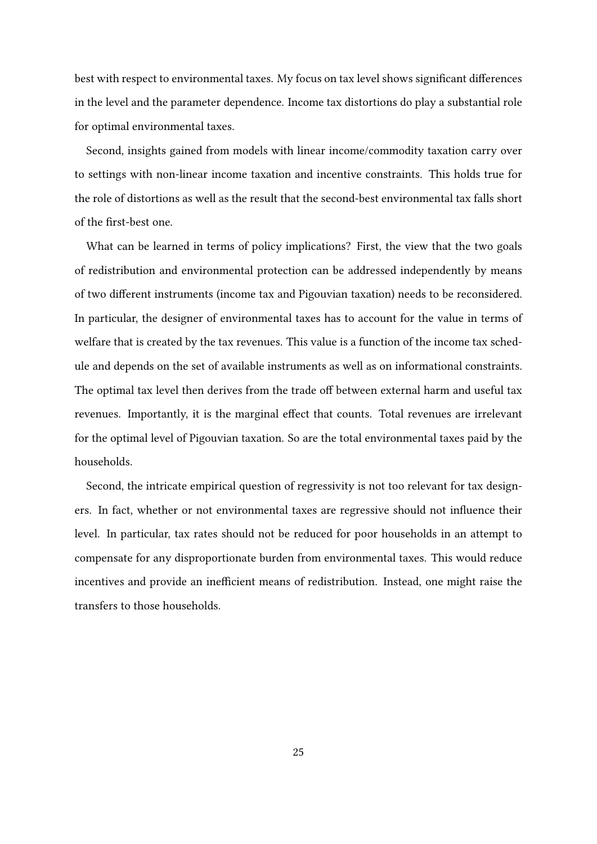best with respect to environmental taxes. My focus on tax level shows significant differences in the level and the parameter dependence. Income tax distortions do play a substantial role for optimal environmental taxes.

Second, insights gained from models with linear income/commodity taxation carry over to settings with non-linear income taxation and incentive constraints. This holds true for the role of distortions as well as the result that the second-best environmental tax falls short of the first-best one.

What can be learned in terms of policy implications? First, the view that the two goals of redistribution and environmental protection can be addressed independently by means of two different instruments (income tax and Pigouvian taxation) needs to be reconsidered. In particular, the designer of environmental taxes has to account for the value in terms of welfare that is created by the tax revenues. This value is a function of the income tax schedule and depends on the set of available instruments as well as on informational constraints. The optimal tax level then derives from the trade off between external harm and useful tax revenues. Importantly, it is the marginal effect that counts. Total revenues are irrelevant for the optimal level of Pigouvian taxation. So are the total environmental taxes paid by the households.

Second, the intricate empirical question of regressivity is not too relevant for tax designers. In fact, whether or not environmental taxes are regressive should not influence their level. In particular, tax rates should not be reduced for poor households in an attempt to compensate for any disproportionate burden from environmental taxes. This would reduce incentives and provide an inefficient means of redistribution. Instead, one might raise the transfers to those households.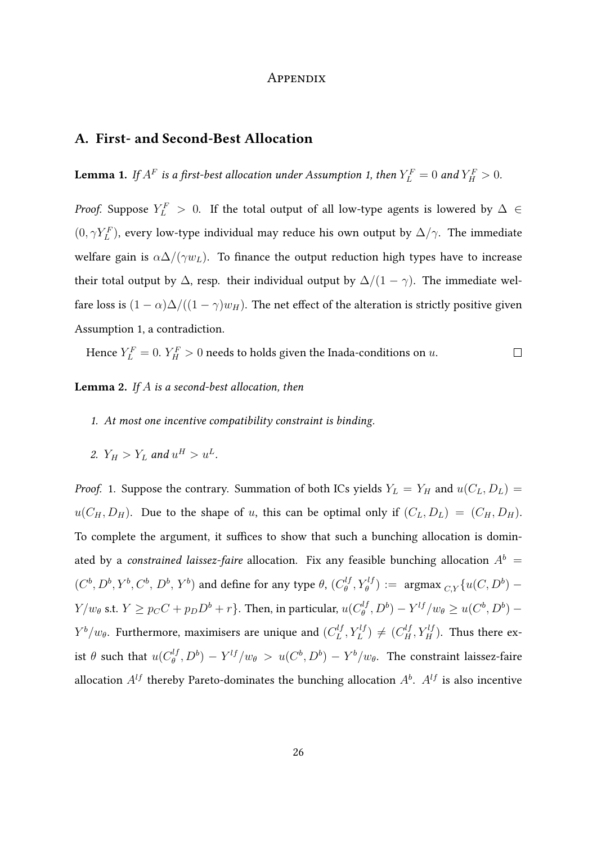#### **APPENDIX**

## <span id="page-27-2"></span>A. First- and Second-Best Allocation

<span id="page-27-0"></span>**Lemma 1.** If  $A^F$  is a first-best allocation under Assumption [1,](#page-10-1) then  $Y_L^F=0$  and  $Y_H^F>0$ .

*Proof.* Suppose  $Y_L^F > 0$ . If the total output of all low-type agents is lowered by  $\Delta \in$  $(0, \gamma Y_L^F)$ , every low-type individual may reduce his own output by  $\Delta/\gamma$ . The immediate welfare gain is  $\alpha\Delta/(\gamma w_L)$ . To finance the output reduction high types have to increase their total output by  $\Delta$ , resp. their individual output by  $\Delta/(1-\gamma)$ . The immediate welfare loss is  $(1 - \alpha)\Delta/((1 - \gamma)w_H)$ . The net effect of the alteration is strictly positive given Assumption [1,](#page-10-1) a contradiction.

Hence  $Y_L^F=0. \; Y_H^F>0$  needs to holds given the Inada-conditions on  $u.$ 

 $\Box$ 

## <span id="page-27-1"></span>**Lemma 2.** If  $A$  is a second-best allocation, then

1. At most one incentive compatibility constraint is binding.

2.  $Y_H > Y_L$  and  $u^H > u^L$ .

*Proof.* 1. Suppose the contrary. Summation of both ICs yields  $Y_L = Y_H$  and  $u(C_L, D_L)$  $u(C_H, D_H)$ . Due to the shape of u, this can be optimal only if  $(C_L, D_L) = (C_H, D_H)$ . To complete the argument, it suffices to show that such a bunching allocation is dominated by a constrained laissez-faire allocation. Fix any feasible bunching allocation  $A^b$  =  $(C^b, D^b, Y^b, C^b, D^b, Y^b)$  and define for any type  $\theta$ ,  $(C_{\theta}^{lj})$  $\theta_\theta^{l}P, Y_\theta^{l}f) \ := \ \ \arg\!\max \, {}_{C,Y} \{ u(C,D^b) \ Y/w_\theta$  s.t.  $Y \geq p_C C + p_D D^b + r\}.$  Then, in particular,  $u(C_\theta^{lf})$  $\mathcal{L}_{\theta}^{df}, D^b) - Y^{lf}/w_{\theta} \geq u(C^b, D^b) Y^b/w_\theta$ . Furthermore, maximisers are unique and  $(C_L^{lj})$  $L^{l,f}, Y^{lf}_L) \neq (C^{lf}_H, Y^{lf}_H)$ . Thus there exist  $\theta$  such that  $u(C_\theta^{lf})$  $\partial_\theta^{df},D^b)-Y^{lf}/w_\theta\,>\,u(C^b,D^b)-Y^b/w_\theta.$  The constraint laissez-faire allocation  $A^{lf}$  thereby Pareto-dominates the bunching allocation  $A^{b}$ .  $A^{lf}$  is also incentive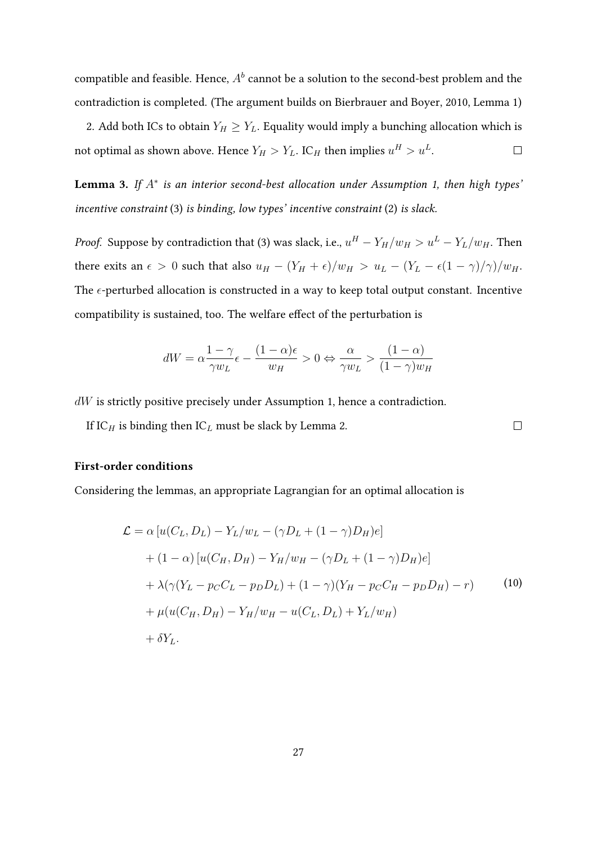compatible and feasible. Hence,  $A^b$  cannot be a solution to the second-best problem and the contradiction is completed. (The argument builds on [Bierbrauer and Boyer, 2010,](#page-37-1) Lemma 1)

2. Add both ICs to obtain  $Y_H \geq Y_L$ . Equality would imply a bunching allocation which is not optimal as shown above. Hence  $Y_H>Y_L$ . IC $_H$  then implies  $u^H>u^L$ .  $\Box$ 

<span id="page-28-0"></span>**Lemma 3.** If  $A^*$  is an interior second-best allocation under Assumption [1,](#page-10-1) then high types incentive constraint [\(3\)](#page-9-2) is binding, low types' incentive constraint [\(2\)](#page-9-3) is slack.

*Proof.* Suppose by contradiction that [\(3\)](#page-9-2) was slack, i.e.,  $u^H - Y_H/w_H > u^L - Y_L/w_H$ . Then there exits an  $\epsilon > 0$  such that also  $u_H - (Y_H + \epsilon)/w_H > u_L - (Y_L - \epsilon(1 - \gamma)/\gamma)/w_H$ . The  $\epsilon$ -perturbed allocation is constructed in a way to keep total output constant. Incentive compatibility is sustained, too. The welfare effect of the perturbation is

$$
dW = \alpha \frac{1 - \gamma}{\gamma w_L} \epsilon - \frac{(1 - \alpha)\epsilon}{w_H} > 0 \Leftrightarrow \frac{\alpha}{\gamma w_L} > \frac{(1 - \alpha)}{(1 - \gamma)w_H}
$$

 $dW$  is strictly positive precisely under Assumption [1,](#page-10-1) hence a contradiction.

If IC<sub>H</sub> is binding then IC<sub>L</sub> must be slack by Lemma [2.](#page-27-1)

#### First-order conditions

Considering the lemmas, an appropriate Lagrangian for an optimal allocation is

$$
\mathcal{L} = \alpha \left[ u(C_L, D_L) - Y_L / w_L - (\gamma D_L + (1 - \gamma) D_H) e \right]
$$
  
+ 
$$
(1 - \alpha) \left[ u(C_H, D_H) - Y_H / w_H - (\gamma D_L + (1 - \gamma) D_H) e \right]
$$
  
+ 
$$
\lambda (\gamma (Y_L - p_C C_L - p_D D_L) + (1 - \gamma) (Y_H - p_C C_H - p_D D_H) - r)
$$
  
+ 
$$
\mu (u(C_H, D_H) - Y_H / w_H - u(C_L, D_L) + Y_L / w_H)
$$
  
+ 
$$
\delta Y_L.
$$
 (10)

<span id="page-28-1"></span> $\Box$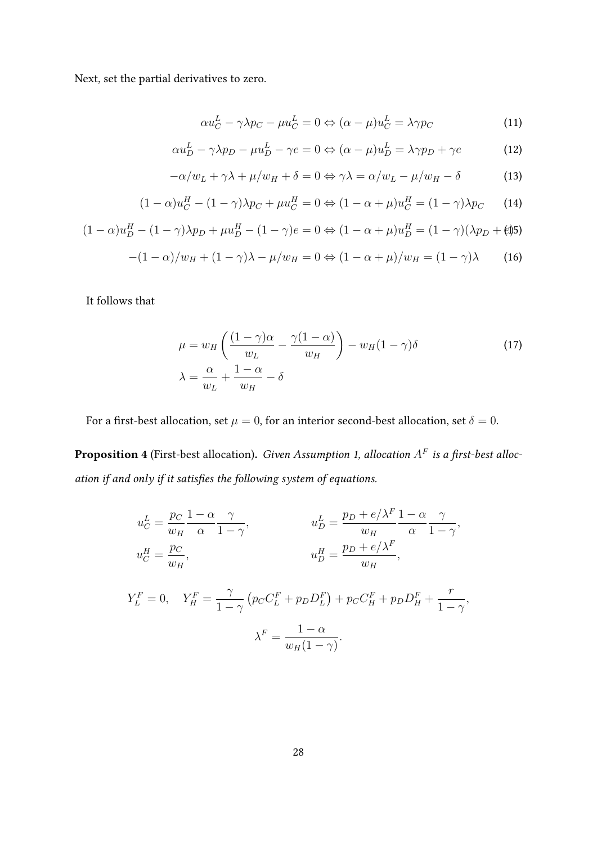Next, set the partial derivatives to zero.

<span id="page-29-5"></span><span id="page-29-4"></span><span id="page-29-3"></span><span id="page-29-2"></span><span id="page-29-1"></span><span id="page-29-0"></span>
$$
\alpha u_C^L - \gamma \lambda p_C - \mu u_C^L = 0 \Leftrightarrow (\alpha - \mu) u_C^L = \lambda \gamma p_C \tag{11}
$$

$$
\alpha u_D^L - \gamma \lambda p_D - \mu u_D^L - \gamma e = 0 \Leftrightarrow (\alpha - \mu) u_D^L = \lambda \gamma p_D + \gamma e \tag{12}
$$

$$
-\alpha/w_L + \gamma \lambda + \mu/w_H + \delta = 0 \Leftrightarrow \gamma \lambda = \alpha/w_L - \mu/w_H - \delta \tag{13}
$$

$$
(1 - \alpha)u_C^H - (1 - \gamma)\lambda p_C + \mu u_C^H = 0 \Leftrightarrow (1 - \alpha + \mu)u_C^H = (1 - \gamma)\lambda p_C \tag{14}
$$

$$
(1 - \alpha)u_D^H - (1 - \gamma)\lambda p_D + \mu u_D^H - (1 - \gamma)e = 0 \Leftrightarrow (1 - \alpha + \mu)u_D^H = (1 - \gamma)(\lambda p_D + \text{(15)}
$$

$$
-(1 - \alpha)/w_H + (1 - \gamma)\lambda - \mu/w_H = 0 \Leftrightarrow (1 - \alpha + \mu)/w_H = (1 - \gamma)\lambda \tag{16}
$$

It follows that

<span id="page-29-8"></span><span id="page-29-6"></span>
$$
\mu = w_H \left( \frac{(1 - \gamma)\alpha}{w_L} - \frac{\gamma(1 - \alpha)}{w_H} \right) - w_H (1 - \gamma)\delta
$$
\n
$$
\lambda = \frac{\alpha}{w_L} + \frac{1 - \alpha}{w_H} - \delta
$$
\n(17)

For a first-best allocation, set  $\mu = 0$ , for an interior second-best allocation, set  $\delta = 0$ .

<span id="page-29-7"></span>**Proposition 4** (First-best allocation). *Given Assumption [1,](#page-10-1) allocation*  $A^F$  *is a first-best alloc*ation if and only if it satisfies the following system of equations.

$$
u_C^L = \frac{p_C}{w_H} \frac{1 - \alpha}{\alpha} \frac{\gamma}{1 - \gamma}, \qquad u_D^L = \frac{p_D + e/\lambda^F}{w_H} \frac{1 - \alpha}{\alpha} \frac{\gamma}{1 - \gamma},
$$
  
\n
$$
u_C^H = \frac{p_C}{w_H}, \qquad u_D^H = \frac{p_D + e/\lambda^F}{w_H},
$$
  
\n
$$
Y_L^F = 0, \quad Y_H^F = \frac{\gamma}{1 - \gamma} \left( p_C C_L^F + p_D D_L^F \right) + p_C C_H^F + p_D D_H^F + \frac{r}{1 - \gamma},
$$
  
\n
$$
\lambda^F = \frac{1 - \alpha}{w_H (1 - \gamma)}.
$$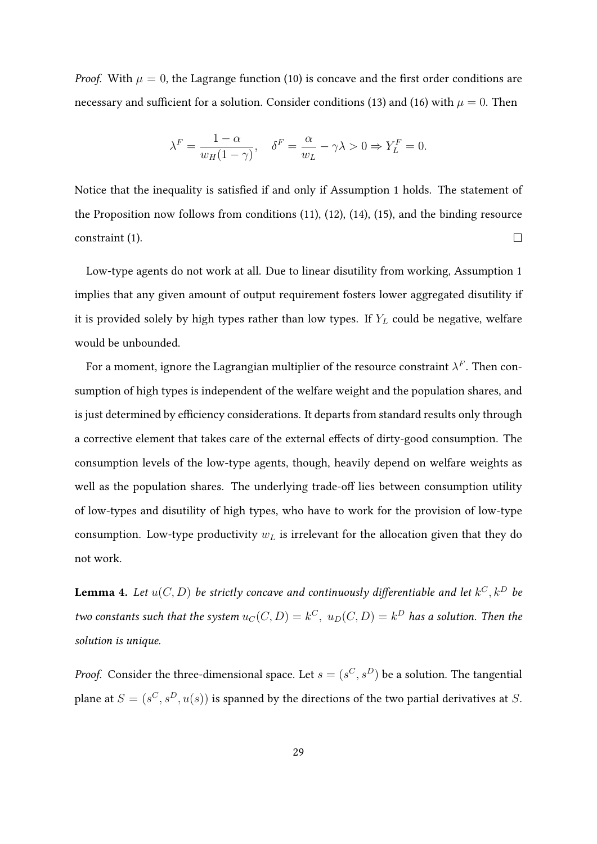*Proof.* With  $\mu = 0$ , the Lagrange function [\(10\)](#page-28-1) is concave and the first order conditions are necessary and sufficient for a solution. Consider conditions [\(13\)](#page-29-0) and [\(16\)](#page-29-1) with  $\mu = 0$ . Then

$$
\lambda^F = \frac{1 - \alpha}{w_H(1 - \gamma)}, \quad \delta^F = \frac{\alpha}{w_L} - \gamma \lambda > 0 \Rightarrow Y_L^F = 0.
$$

Notice that the inequality is satisfied if and only if Assumption [1](#page-10-1) holds. The statement of the Proposition now follows from conditions [\(11\)](#page-29-2), [\(12\)](#page-29-3), [\(14\)](#page-29-4), [\(15\)](#page-29-5), and the binding resource constraint [\(1\)](#page-9-0).  $\Box$ 

Low-type agents do not work at all. Due to linear disutility from working, Assumption [1](#page-10-1) implies that any given amount of output requirement fosters lower aggregated disutility if it is provided solely by high types rather than low types. If  $Y_L$  could be negative, welfare would be unbounded.

For a moment, ignore the Lagrangian multiplier of the resource constraint  $\lambda^F.$  Then consumption of high types is independent of the welfare weight and the population shares, and is just determined by efficiency considerations. It departs from standard results only through a corrective element that takes care of the external effects of dirty-good consumption. The consumption levels of the low-type agents, though, heavily depend on welfare weights as well as the population shares. The underlying trade-off lies between consumption utility of low-types and disutility of high types, who have to work for the provision of low-type consumption. Low-type productivity  $w<sub>L</sub>$  is irrelevant for the allocation given that they do not work.

<span id="page-30-0"></span>**Lemma 4.** Let  $u(C, D)$  be strictly concave and continuously differentiable and let  $k^C, k^D$  be two constants such that the system  $u_C(C, D) = k^C$ ,  $u_D(C, D) = k^D$  has a solution. Then the solution is unique.

*Proof.* Consider the three-dimensional space. Let  $s = (s^C, s^D)$  be a solution. The tangential plane at  $S = (s^C, s^D, u(s))$  is spanned by the directions of the two partial derivatives at  $S$ .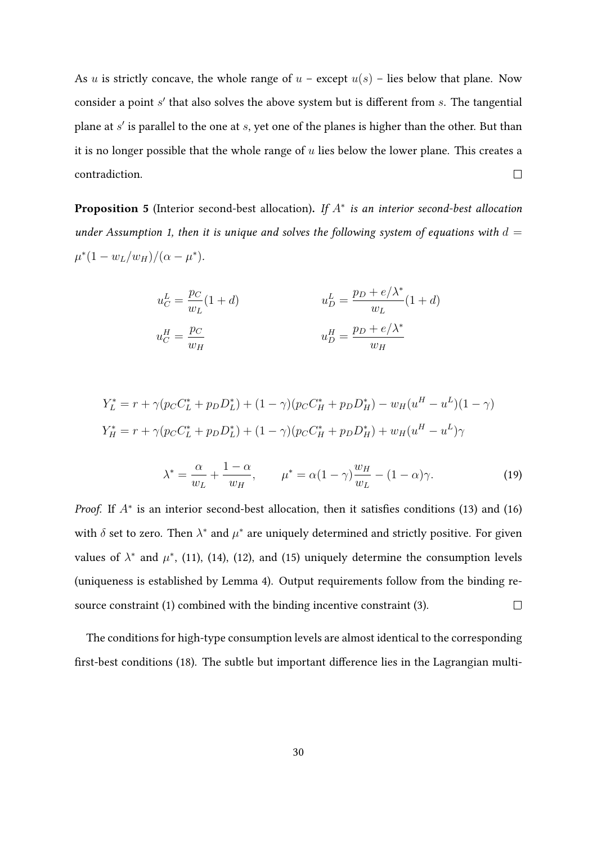As u is strictly concave, the whole range of  $u$  – except  $u(s)$  – lies below that plane. Now consider a point  $s'$  that also solves the above system but is different from  $s$ . The tangential plane at  $s'$  is parallel to the one at  $s$ , yet one of the planes is higher than the other. But than it is no longer possible that the whole range of  $u$  lies below the lower plane. This creates a contradiction.  $\Box$ 

<span id="page-31-0"></span>**Proposition 5** (Interior second-best allocation). If  $A^*$  is an interior second-best allocation under Assumption [1,](#page-10-1) then it is unique and solves the following system of equations with  $d =$  $\mu^*(1 - w_L/w_H)/(\alpha - \mu^*).$ 

$$
u_C^L = \frac{p_C}{w_L}(1+d)
$$
  
\n
$$
u_D^L = \frac{p_D + e/\lambda^*}{w_L}(1+d)
$$
  
\n
$$
u_D^H = \frac{p_D + e/\lambda^*}{w_L}
$$
  
\n
$$
u_D^H = \frac{p_D + e/\lambda^*}{w_H}
$$

$$
Y_L^* = r + \gamma (p_C C_L^* + p_D D_L^*) + (1 - \gamma)(p_C C_H^* + p_D D_H^*) - w_H (u^H - u^L)(1 - \gamma)
$$
  

$$
Y_H^* = r + \gamma (p_C C_L^* + p_D D_L^*) + (1 - \gamma)(p_C C_H^* + p_D D_H^*) + w_H (u^H - u^L)\gamma
$$

<span id="page-31-1"></span>
$$
\lambda^* = \frac{\alpha}{w_L} + \frac{1 - \alpha}{w_H}, \qquad \mu^* = \alpha (1 - \gamma) \frac{w_H}{w_L} - (1 - \alpha) \gamma. \tag{19}
$$

Proof. If  $A^*$  is an interior second-best allocation, then it satisfies conditions [\(13\)](#page-29-0) and [\(16\)](#page-29-1) with  $\delta$  set to zero. Then  $\lambda^*$  and  $\mu^*$  are uniquely determined and strictly positive. For given values of  $\lambda^*$  and  $\mu^*$ , [\(11\)](#page-29-2), [\(14\)](#page-29-4), [\(12\)](#page-29-3), and [\(15\)](#page-29-5) uniquely determine the consumption levels (uniqueness is established by Lemma [4\)](#page-30-0). Output requirements follow from the binding resource constraint [\(1\)](#page-9-0) combined with the binding incentive constraint [\(3\)](#page-9-2).  $\Box$ 

The conditions for high-type consumption levels are almost identical to the corresponding first-best conditions [\(18\)](#page-29-6). The subtle but important difference lies in the Lagrangian multi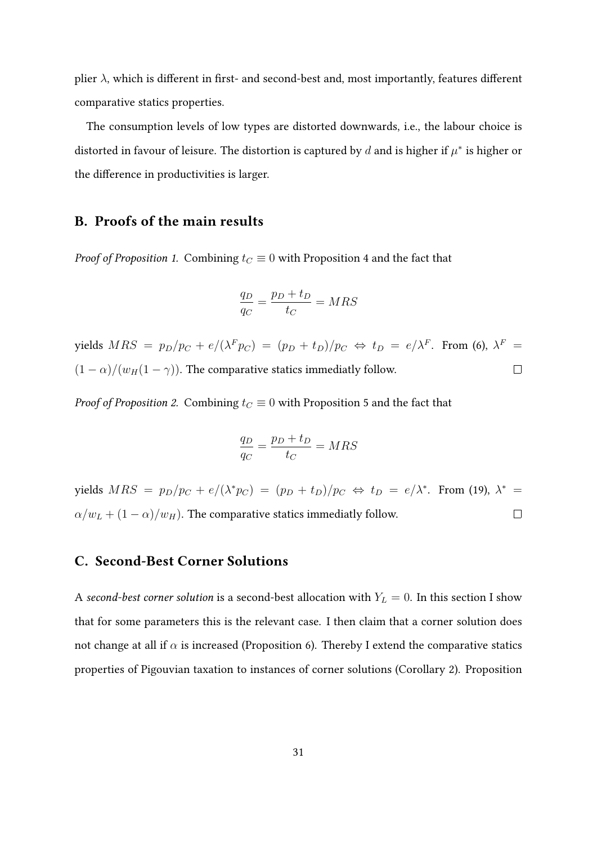plier  $\lambda$ , which is different in first- and second-best and, most importantly, features different comparative statics properties.

The consumption levels of low types are distorted downwards, i.e., the labour choice is distorted in favour of leisure. The distortion is captured by  $d$  and is higher if  $\mu^*$  is higher or the difference in productivities is larger.

## B. Proofs of the main results

*Proof of Proposition [1.](#page-17-2)* Combining  $t_C \equiv 0$  with Proposition [4](#page-29-7) and the fact that

$$
\frac{q_D}{q_C} = \frac{p_D + t_D}{t_C} = MRS
$$

yields  $MRS~=~p_D/p_C+e/(\lambda^F p_C)~=~(p_D+t_D)/p_C~\Leftrightarrow~t_D~=~e/\lambda^F.$  From [\(6\)](#page-13-1),  $\lambda^F~=~$  $(1 - \alpha)/(w_H(1 - \gamma))$ . The comparative statics immediatly follow.  $\Box$ 

*Proof of Proposition [2.](#page-18-0)* Combining  $t_C \equiv 0$  with Proposition [5](#page-31-0) and the fact that

$$
\frac{q_D}{q_C} = \frac{p_D + t_D}{t_C} = MRS
$$

yields  $MRS = p_D/p_C + e/(\lambda^* p_C) = (p_D + t_D)/p_C \Leftrightarrow t_D = e/\lambda^*$ . From [\(19\)](#page-31-1),  $\lambda^* =$  $\alpha/w_L + (1 - \alpha)/w_H$ ). The comparative statics immediatly follow.  $\Box$ 

## <span id="page-32-0"></span>C. Second-Best Corner Solutions

A second-best corner solution is a second-best allocation with  $Y_L = 0$ . In this section I show that for some parameters this is the relevant case. I then claim that a corner solution does not change at all if  $\alpha$  is increased (Proposition [6\)](#page-36-0). Thereby I extend the comparative statics properties of Pigouvian taxation to instances of corner solutions (Corollary [2\)](#page-37-4). Proposition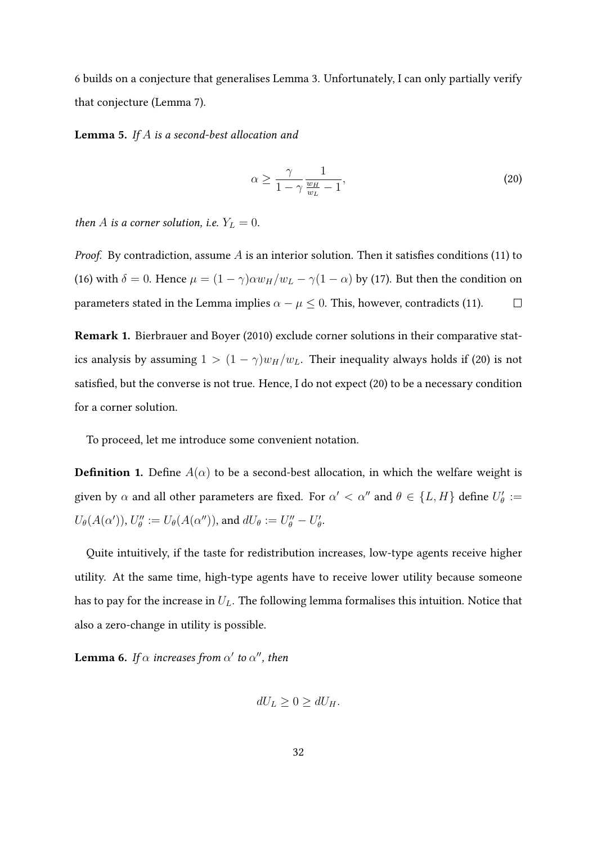[6](#page-36-0) builds on a conjecture that generalises Lemma [3.](#page-28-0) Unfortunately, I can only partially verify that conjecture (Lemma [7\)](#page-34-0).

**Lemma 5.** If  $A$  is a second-best allocation and

<span id="page-33-0"></span>
$$
\alpha \ge \frac{\gamma}{1-\gamma} \frac{1}{\frac{w_H}{w_L} - 1},\tag{20}
$$

then A is a corner solution, i.e.  $Y_L = 0$ .

*Proof.* By contradiction, assume A is an interior solution. Then it satisfies conditions [\(11\)](#page-29-2) to [\(16\)](#page-29-1) with  $\delta = 0$ . Hence  $\mu = (1 - \gamma)\alpha w_H/w_L - \gamma(1 - \alpha)$  by [\(17\)](#page-29-8). But then the condition on parameters stated in the Lemma implies  $\alpha - \mu \leq 0$ . This, however, contradicts [\(11\)](#page-29-2).  $\Box$ 

Remark 1. [Bierbrauer and Boyer](#page-37-1) [\(2010\)](#page-37-1) exclude corner solutions in their comparative statics analysis by assuming  $1 > (1 - \gamma)w_H/w_L$ . Their inequality always holds if [\(20\)](#page-33-0) is not satisfied, but the converse is not true. Hence, I do not expect [\(20\)](#page-33-0) to be a necessary condition for a corner solution.

To proceed, let me introduce some convenient notation.

<span id="page-33-1"></span>**Definition 1.** Define  $A(\alpha)$  to be a second-best allocation, in which the welfare weight is given by  $\alpha$  and all other parameters are fixed. For  $\alpha' < \alpha''$  and  $\theta \in \{L, H\}$  define  $U_{\theta}' :=$  $U_{\theta}(A(\alpha'))$ ,  $U''_{\theta} := U_{\theta}(A(\alpha''))$ , and  $dU_{\theta} := U''_{\theta} - U'_{\theta}$ .

Quite intuitively, if the taste for redistribution increases, low-type agents receive higher utility. At the same time, high-type agents have to receive lower utility because someone has to pay for the increase in  $U_L$ . The following lemma formalises this intuition. Notice that also a zero-change in utility is possible.

<span id="page-33-2"></span>**Lemma 6.** If  $\alpha$  increases from  $\alpha'$  to  $\alpha''$ , then

$$
dU_L \ge 0 \ge dU_H.
$$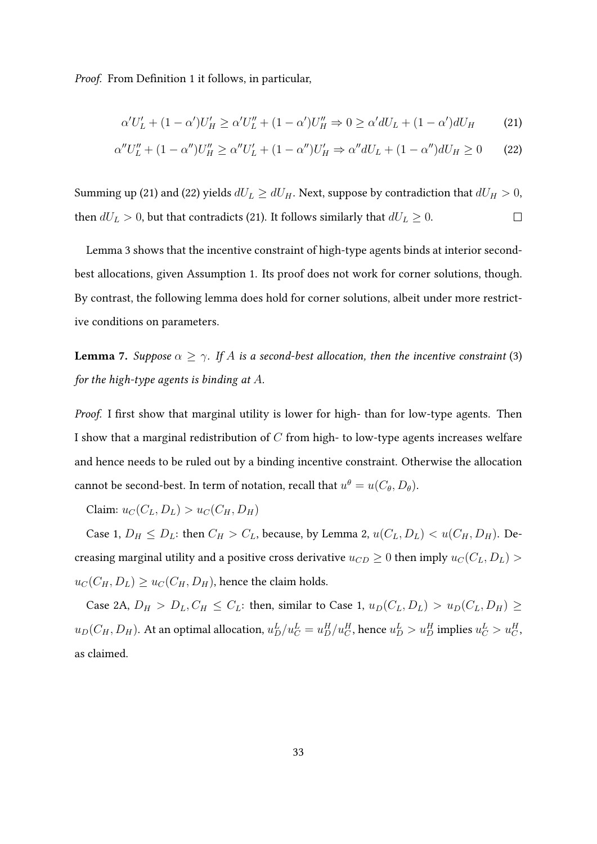*Proof.* From Definition [1](#page-33-1) it follows, in particular,

<span id="page-34-2"></span><span id="page-34-1"></span>
$$
\alpha' U'_L + (1 - \alpha')U'_H \ge \alpha' U''_L + (1 - \alpha')U''_H \Rightarrow 0 \ge \alpha' dU_L + (1 - \alpha') dU_H \tag{21}
$$

$$
\alpha''U_L'' + (1 - \alpha'')U_H'' \ge \alpha''U_L' + (1 - \alpha'')U_H' \Rightarrow \alpha''dU_L + (1 - \alpha'')dU_H \ge 0 \tag{22}
$$

Summing up [\(21\)](#page-34-1) and [\(22\)](#page-34-2) yields  $dU_L \ge dU_H$ . Next, suppose by contradiction that  $dU_H > 0$ , then  $dU_L > 0$ , but that contradicts [\(21\)](#page-34-1). It follows similarly that  $dU_L \geq 0$ .  $\Box$ 

Lemma [3](#page-28-0) shows that the incentive constraint of high-type agents binds at interior secondbest allocations, given Assumption [1.](#page-10-1) Its proof does not work for corner solutions, though. By contrast, the following lemma does hold for corner solutions, albeit under more restrictive conditions on parameters.

<span id="page-34-0"></span>**Lemma 7.** Suppose  $\alpha \geq \gamma$ . If A is a second-best allocation, then the incentive constraint [\(3\)](#page-9-2) for the high-type agents is binding at  $A$ .

Proof. I first show that marginal utility is lower for high- than for low-type agents. Then I show that a marginal redistribution of  $C$  from high- to low-type agents increases welfare and hence needs to be ruled out by a binding incentive constraint. Otherwise the allocation cannot be second-best. In term of notation, recall that  $u^{\theta}=u(C_{\theta},D_{\theta}).$ 

Claim:  $u_C(C_L, D_L) > u_C(C_H, D_H)$ 

Case 1,  $D_H \leq D_L$ : then  $C_H > C_L$ , because, by Lemma [2,](#page-27-1)  $u(C_L, D_L) < u(C_H, D_H)$ . Decreasing marginal utility and a positive cross derivative  $u_{CD} \geq 0$  then imply  $u_C(C_L, D_L)$  $u_C(C_H, D_L) \geq u_C(C_H, D_H)$ , hence the claim holds.

Case 2A,  $D_H > D_L$ ,  $C_H \le C_L$ : then, similar to Case 1,  $u_D(C_L, D_L) > u_D(C_L, D_H) \ge$  $u_D(C_H,D_H)$ . At an optimal allocation,  $u_D^L/u_C^L=u_D^H/u_C^H$ , hence  $u_D^L> u_D^H$  implies  $u_C^L> u_C^H$ , as claimed.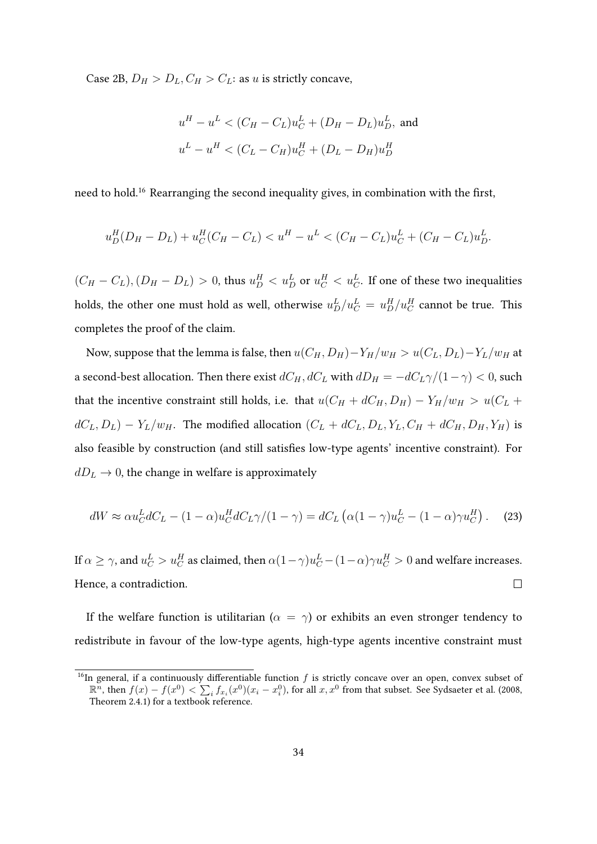Case 2B,  $D_H > D_L$ ,  $C_H > C_L$ : as u is strictly concave,

$$
u^{H} - u^{L} < (C_{H} - C_{L})u_{C}^{L} + (D_{H} - D_{L})u_{D}^{L}, \text{ and}
$$
\n
$$
u^{L} - u^{H} < (C_{L} - C_{H})u_{C}^{H} + (D_{L} - D_{H})u_{D}^{H}
$$

need to hold.<sup>[16](#page-35-0)</sup> Rearranging the second inequality gives, in combination with the first,

$$
u_D^H(D_H - D_L) + u_C^H(C_H - C_L) < u^H - u^L < (C_H - C_L)u_C^L + (C_H - C_L)u_D^L.
$$

 $(C_H - C_L), (D_H - D_L) > 0$ , thus  $u_D^H < u_D^L$  or  $u_C^H < u_C^L$ . If one of these two inequalities holds, the other one must hold as well, otherwise  $u_D^L/u_C^L \,=\, u_D^H/u_C^H$  cannot be true. This completes the proof of the claim.

Now, suppose that the lemma is false, then  $u(C_H, D_H) - Y_H/w_H > u(C_L, D_L) - Y_L/w_H$  at a second-best allocation. Then there exist  $dC_H$ ,  $dC_L$  with  $dD_H = -dC_L\gamma/(1-\gamma) < 0$ , such that the incentive constraint still holds, i.e. that  $u(C_H + dC_H, D_H) - Y_H/w_H > u(C_L +$  $dC_L, D_L$  –  $Y_L/w_H$ . The modified allocation  $(C_L + dC_L, D_L, Y_L, C_H + dC_H, D_H, Y_H)$  is also feasible by construction (and still satisfies low-type agents' incentive constraint). For  $dD_L \rightarrow 0$ , the change in welfare is approximately

<span id="page-35-1"></span>
$$
dW \approx \alpha u_C^L dC_L - (1 - \alpha) u_C^H dC_L \gamma / (1 - \gamma) = dC_L \left( \alpha (1 - \gamma) u_C^L - (1 - \alpha) \gamma u_C^H \right). \tag{23}
$$

If  $\alpha\geq\gamma$ , and  $u_C^L>u_C^H$  as claimed, then  $\alpha(1-\gamma)u_C^L-(1-\alpha)\gamma u_C^H>0$  and welfare increases.  $\Box$ Hence, a contradiction.

If the welfare function is utilitarian ( $\alpha = \gamma$ ) or exhibits an even stronger tendency to redistribute in favour of the low-type agents, high-type agents incentive constraint must

<span id="page-35-0"></span><sup>&</sup>lt;sup>16</sup>In general, if a continuously differentiable function f is strictly concave over an open, convex subset of  $\mathbb{R}^n$ , then  $f(x)-f(x^0)<\sum_if_{x_i}(x^0)(x_i-x^0_i)$ , for all  $x,x^0$  from that subset. See [Sydsaeter et al.](#page-41-3) [\(2008,](#page-41-3) Theorem 2.4.1) for a textbook reference.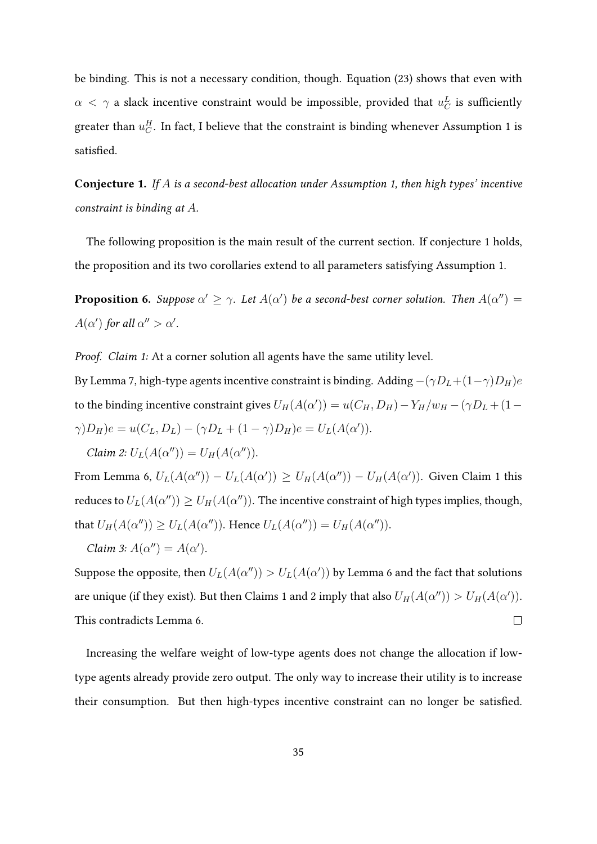be binding. This is not a necessary condition, though. Equation [\(23\)](#page-35-1) shows that even with  $\alpha\,<\,\gamma$  a slack incentive constraint would be impossible, provided that  $u^L_C$  is sufficiently greater than  $u_C^H$ . In fact, I believe that the constraint is binding whenever Assumption [1](#page-10-1) is satisfied.

<span id="page-36-1"></span>**Conjecture 1.** If A is a second-best allocation under Assumption [1,](#page-10-1) then high types' incentive constraint is binding at A.

The following proposition is the main result of the current section. If conjecture [1](#page-36-1) holds, the proposition and its two corollaries extend to all parameters satisfying Assumption [1.](#page-10-1)

<span id="page-36-0"></span>**Proposition 6.** Suppose  $\alpha' \geq \gamma$ . Let  $A(\alpha')$  be a second-best corner solution. Then  $A(\alpha'') =$  $A(\alpha')$  for all  $\alpha'' > \alpha'$ .

Proof. Claim 1: At a corner solution all agents have the same utility level.

By Lemma [7,](#page-34-0) high-type agents incentive constraint is binding. Adding  $-(\gamma D_L+(1-\gamma)D_H)e$ to the binding incentive constraint gives  $U_H(A(\alpha')) = u(C_H, D_H) - Y_H/w_H - (\gamma D_L + (1-\gamma)D_H)$  $\gamma$ ) $D_H$ ) $e = u(C_L, D_L) - (\gamma D_L + (1 - \gamma)D_H)e = U_L(A(\alpha')).$ Claim 2:  $U_L(A(\alpha'')) = U_H(A(\alpha'')).$ 

From Lemma [6,](#page-33-2)  $U_L(A(\alpha'')) - U_L(A(\alpha')) \ge U_H(A(\alpha'')) - U_H(A(\alpha'))$ . Given Claim 1 this reduces to  $U_{L}(A(\alpha''))\ge U_{H}(A(\alpha''))$ . The incentive constraint of high types implies, though, that  $U_H(A(\alpha'')) \ge U_L(A(\alpha''))$ . Hence  $U_L(A(\alpha'')) = U_H(A(\alpha''))$ .

Claim 3:  $A(\alpha'') = A(\alpha')$ .

Suppose the opposite, then  $U_L(A(\alpha''))>U_L(A(\alpha'))$  by Lemma [6](#page-33-2) and the fact that solutions are unique (if they exist). But then Claims 1 and 2 imply that also  $U_H(A(\alpha'')) > U_H(A(\alpha'))$ . This contradicts Lemma [6.](#page-33-2)  $\Box$ 

Increasing the welfare weight of low-type agents does not change the allocation if lowtype agents already provide zero output. The only way to increase their utility is to increase their consumption. But then high-types incentive constraint can no longer be satisfied.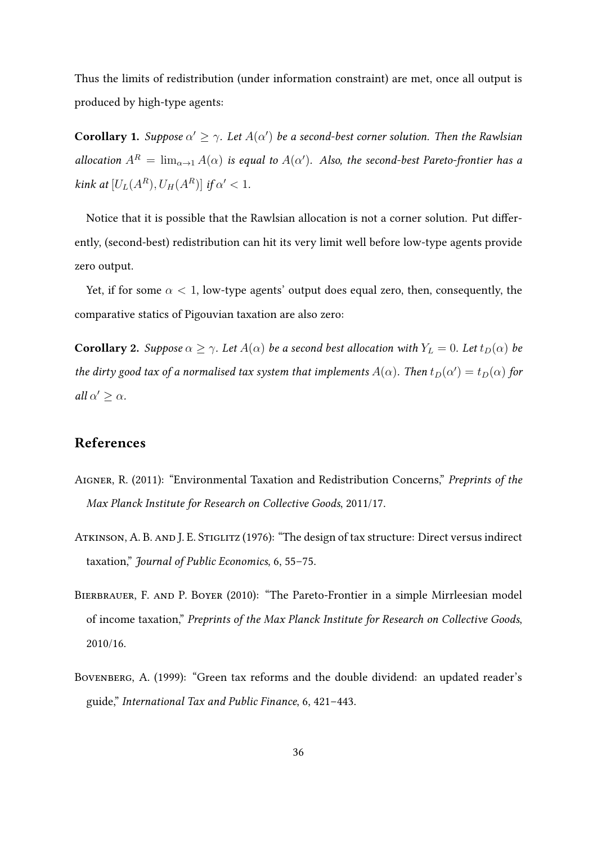Thus the limits of redistribution (under information constraint) are met, once all output is produced by high-type agents:

**Corollary 1.** Suppose  $\alpha' \geq \gamma$ . Let  $A(\alpha')$  be a second-best corner solution. Then the Rawlsian allocation  $A^R = \lim_{\alpha \to 1} A(\alpha)$  is equal to  $A(\alpha')$ . Also, the second-best Pareto-frontier has a kink at  $[U_L(A^R), U_H(A^R)]$  if  $\alpha' < 1$ .

Notice that it is possible that the Rawlsian allocation is not a corner solution. Put differently, (second-best) redistribution can hit its very limit well before low-type agents provide zero output.

Yet, if for some  $\alpha < 1$ , low-type agents' output does equal zero, then, consequently, the comparative statics of Pigouvian taxation are also zero:

<span id="page-37-4"></span>**Corollary 2.** Suppose  $\alpha \geq \gamma$ . Let  $A(\alpha)$  be a second best allocation with  $Y_L = 0$ . Let  $t_D(\alpha)$  be the dirty good tax of a normalised tax system that implements  $A(\alpha)$ . Then  $t_D(\alpha') = t_D(\alpha)$  for all  $\alpha' \geq \alpha$ .

## References

- <span id="page-37-3"></span>Aigner, R. (2011): "Environmental Taxation and Redistribution Concerns," Preprints of the Max Planck Institute for Research on Collective Goods, 2011/17.
- <span id="page-37-0"></span>ATKINSON, A. B. AND J. E. STIGLITZ (1976): "The design of tax structure: Direct versus indirect taxation," Journal of Public Economics, 6, 55–75.
- <span id="page-37-1"></span>Bierbrauer, F. and P. Boyer (2010): "The Pareto-Frontier in a simple Mirrleesian model of income taxation," Preprints of the Max Planck Institute for Research on Collective Goods, 2010/16.
- <span id="page-37-2"></span>BOVENBERG, A. (1999): "Green tax reforms and the double dividend: an updated reader's guide," International Tax and Public Finance, 6, 421–443.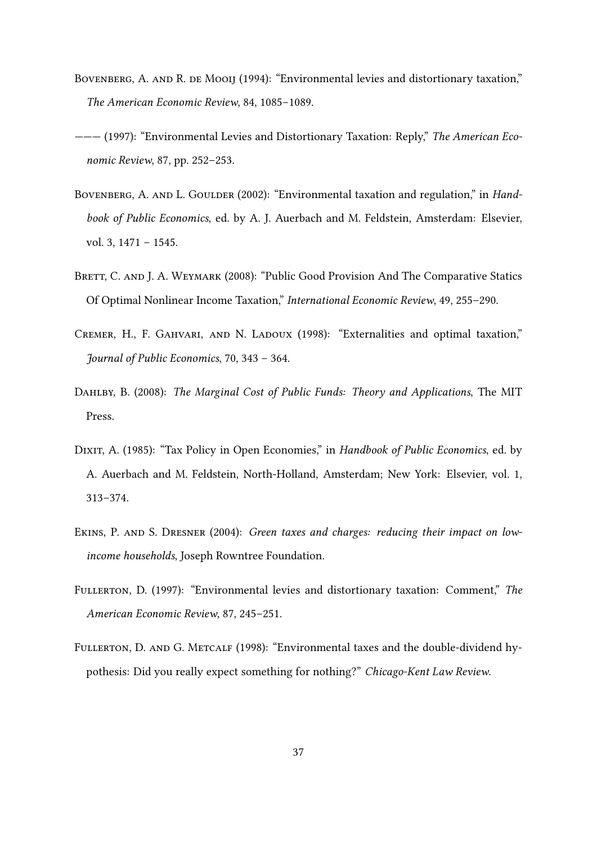- <span id="page-38-2"></span>BOVENBERG, A. AND R. DE MOOIJ (1994): "Environmental levies and distortionary taxation," The American Economic Review, 84, 1085–1089.
- <span id="page-38-7"></span>——— (1997): "Environmental Levies and Distortionary Taxation: Reply," The American Economic Review, 87, pp. 252–253.
- <span id="page-38-5"></span>BOVENBERG, A. AND L. GOULDER (2002): "Environmental taxation and regulation," in Handbook of Public Economics, ed. by A. J. Auerbach and M. Feldstein, Amsterdam: Elsevier, vol. 3, 1471 – 1545.
- <span id="page-38-3"></span>BRETT, C. AND J. A. WEYMARK (2008): "Public Good Provision And The Comparative Statics Of Optimal Nonlinear Income Taxation," International Economic Review, 49, 255–290.
- <span id="page-38-0"></span>CREMER, H., F. GAHVARI, AND N. LADOUX (1998): "Externalities and optimal taxation," Journal of Public Economics, 70, 343 – 364.
- <span id="page-38-6"></span>DAHLBY, B. (2008): The Marginal Cost of Public Funds: Theory and Applications, The MIT Press.
- <span id="page-38-1"></span>DIXIT, A. (1985): "Tax Policy in Open Economies," in Handbook of Public Economics, ed. by A. Auerbach and M. Feldstein, North-Holland, Amsterdam; New York: Elsevier, vol. 1, 313–374.
- <span id="page-38-4"></span>EKINS, P. AND S. DRESNER (2004): Green taxes and charges: reducing their impact on lowincome households, Joseph Rowntree Foundation.
- <span id="page-38-8"></span>FULLERTON, D. (1997): "Environmental levies and distortionary taxation: Comment," The American Economic Review, 87, 245–251.
- <span id="page-38-9"></span>FULLERTON, D. AND G. METCALF (1998): "Environmental taxes and the double-dividend hypothesis: Did you really expect something for nothing?" Chicago-Kent Law Review.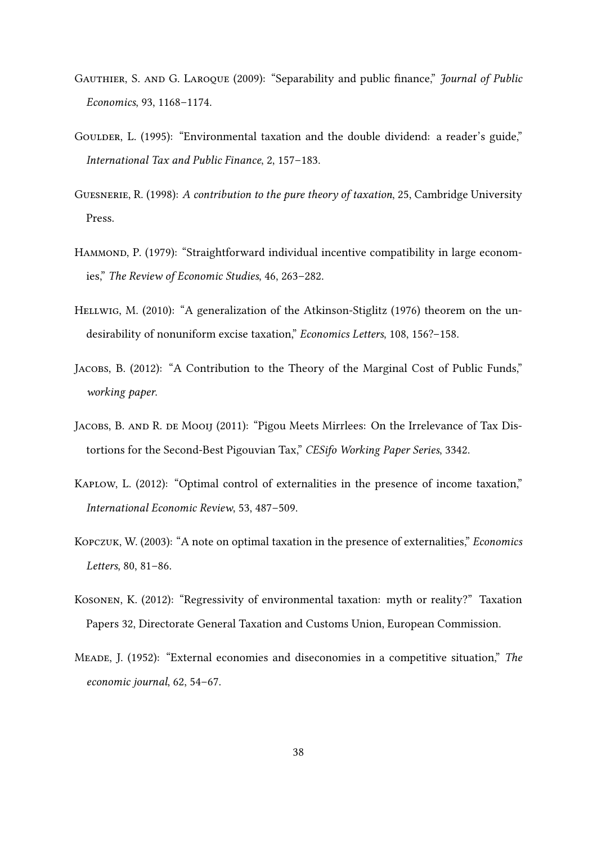- <span id="page-39-0"></span>GAUTHIER, S. AND G. LAROQUE (2009): "Separability and public finance," *Journal of Public* Economics, 93, 1168–1174.
- <span id="page-39-6"></span>GOULDER, L. (1995): "Environmental taxation and the double dividend: a reader's guide," International Tax and Public Finance, 2, 157–183.
- <span id="page-39-9"></span>Guesnerie, R. (1998): A contribution to the pure theory of taxation, 25, Cambridge University Press.
- <span id="page-39-8"></span>HAMMOND, P. (1979): "Straightforward individual incentive compatibility in large economies," The Review of Economic Studies, 46, 263–282.
- <span id="page-39-1"></span>HELLWIG, M. (2010): "A generalization of the Atkinson-Stiglitz (1976) theorem on the undesirability of nonuniform excise taxation," Economics Letters, 108, 156?–158.
- <span id="page-39-10"></span>JACOBS, B. (2012): "A Contribution to the Theory of the Marginal Cost of Public Funds," working paper.
- <span id="page-39-3"></span>JACOBS, B. AND R. DE MOOIJ (2011): "Pigou Meets Mirrlees: On the Irrelevance of Tax Distortions for the Second-Best Pigouvian Tax," CESifo Working Paper Series, 3342.
- <span id="page-39-4"></span>Kaplow, L. (2012): "Optimal control of externalities in the presence of income taxation," International Economic Review, 53, 487–509.
- <span id="page-39-2"></span>Kopczuk, W. (2003): "A note on optimal taxation in the presence of externalities," Economics Letters, 80, 81–86.
- <span id="page-39-5"></span>Kosonen, K. (2012): "Regressivity of environmental taxation: myth or reality?" Taxation Papers 32, Directorate General Taxation and Customs Union, European Commission.
- <span id="page-39-7"></span>Meade, J. (1952): "External economies and diseconomies in a competitive situation," The economic journal, 62, 54–67.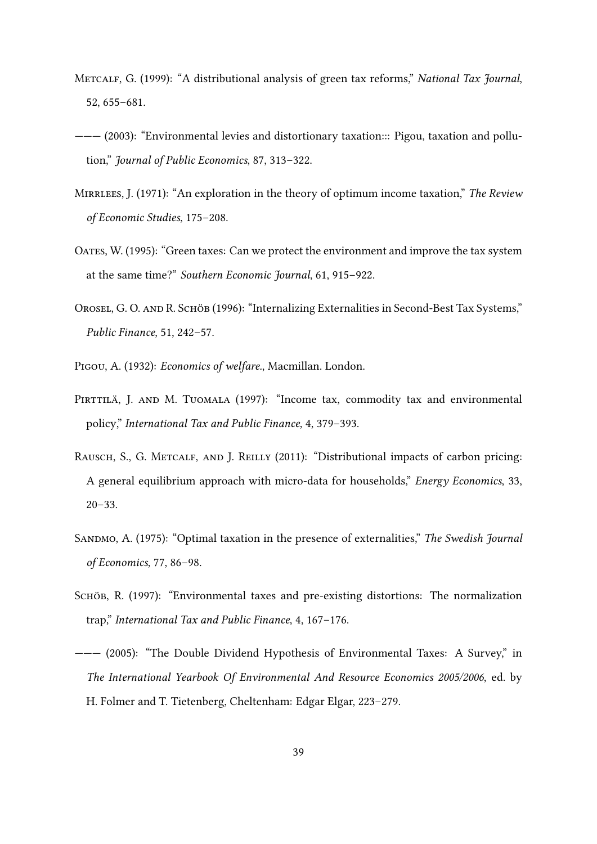- <span id="page-40-6"></span>METCALF, G. (1999): "A distributional analysis of green tax reforms," National Tax Journal, 52, 655–681.
- <span id="page-40-5"></span>——— (2003): "Environmental levies and distortionary taxation::: Pigou, taxation and pollution," Journal of Public Economics, 87, 313–322.
- <span id="page-40-0"></span>MIRRLEES, J. (1971): "An exploration in the theory of optimum income taxation," The Review of Economic Studies, 175–208.
- <span id="page-40-10"></span>OATES, W. (1995): "Green taxes: Can we protect the environment and improve the tax system at the same time?" Southern Economic Journal, 61, 915–922.
- <span id="page-40-4"></span>Orosel, G. O. and R. Schöb (1996): "Internalizing Externalities in Second-Best Tax Systems," Public Finance, 51, 242–57.
- <span id="page-40-1"></span>Pigou, A. (1932): Economics of welfare., Macmillan. London.
- <span id="page-40-2"></span>PIRTTILÄ, J. AND M. TUOMALA (1997): "Income tax, commodity tax and environmental policy," International Tax and Public Finance, 4, 379–393.
- <span id="page-40-7"></span>RAUSCH, S., G. METCALF, AND J. REILLY (2011): "Distributional impacts of carbon pricing: A general equilibrium approach with micro-data for households," Energy Economics, 33, 20–33.
- <span id="page-40-3"></span>SANDMO, A. (1975): "Optimal taxation in the presence of externalities," The Swedish Journal of Economics, 77, 86–98.
- <span id="page-40-8"></span>Schöb, R. (1997): "Environmental taxes and pre-existing distortions: The normalization trap," International Tax and Public Finance, 4, 167–176.
- <span id="page-40-9"></span>——— (2005): "The Double Dividend Hypothesis of Environmental Taxes: A Survey," in The International Yearbook Of Environmental And Resource Economics 2005/2006, ed. by H. Folmer and T. Tietenberg, Cheltenham: Edgar Elgar, 223–279.